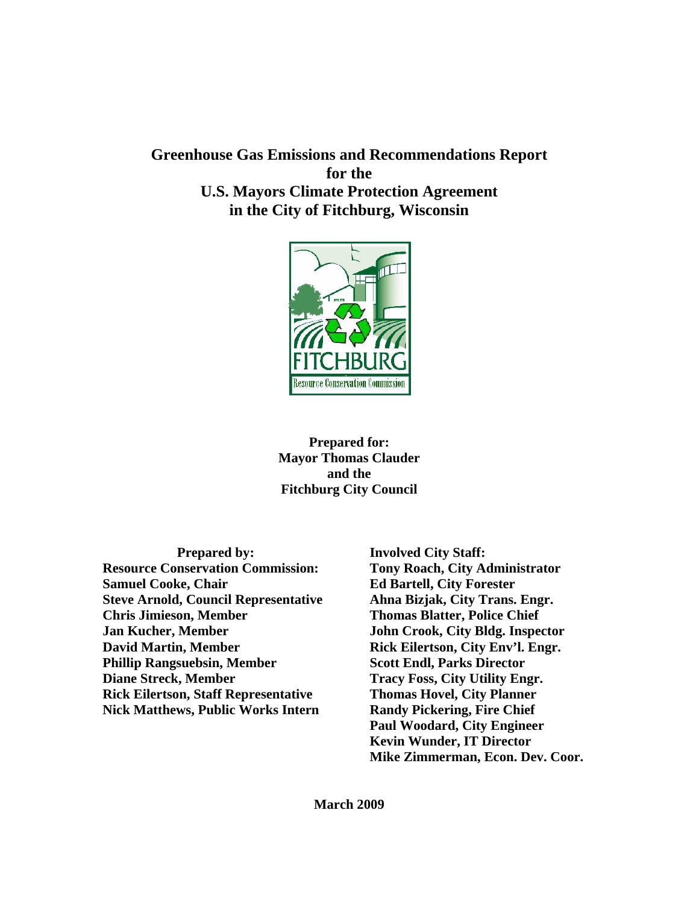# **Greenhouse Gas Emissions and Recommendations Report for the U.S. Mayors Climate Protection Agreement in the City of Fitchburg, Wisconsin**



**Prepared for: Mayor Thomas Clauder and the Fitchburg City Council** 

**Prepared by: Resource Conservation Commission: Samuel Cooke, Chair Steve Arnold, Council Representative Chris Jimieson, Member Jan Kucher, Member David Martin, Member Phillip Rangsuebsin, Member Diane Streck, Member Rick Eilertson, Staff Representative Nick Matthews, Public Works Intern** 

**Involved City Staff: Tony Roach, City Administrator Ed Bartell, City Forester Ahna Bizjak, City Trans. Engr. Thomas Blatter, Police Chief John Crook, City Bldg. Inspector Rick Eilertson, City Env'l. Engr. Scott Endl, Parks Director Tracy Foss, City Utility Engr. Thomas Hovel, City Planner Randy Pickering, Fire Chief Paul Woodard, City Engineer Kevin Wunder, IT Director Mike Zimmerman, Econ. Dev. Coor.**

**March 2009**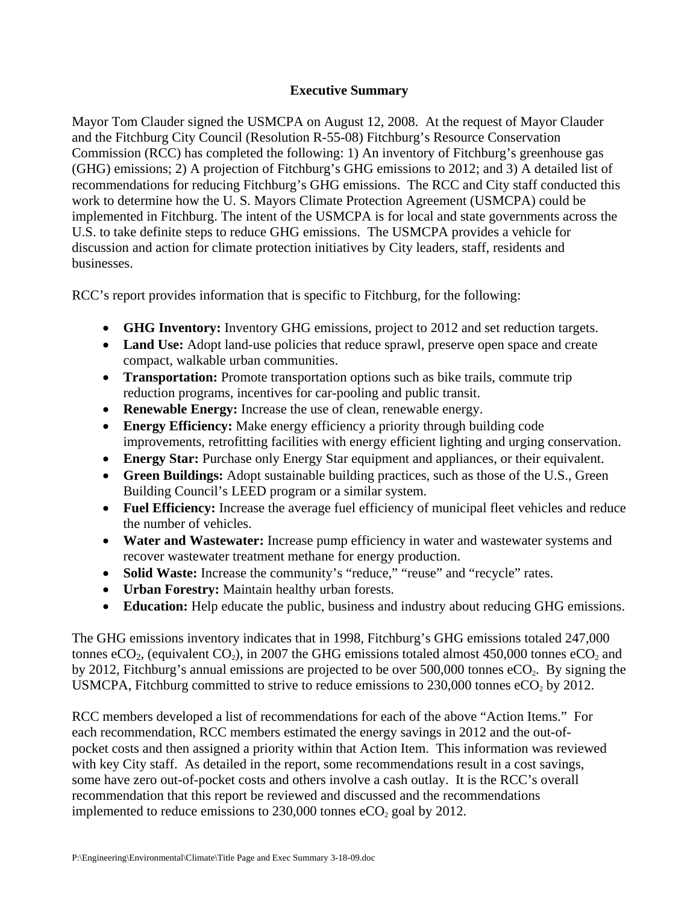## **Executive Summary**

Mayor Tom Clauder signed the USMCPA on August 12, 2008. At the request of Mayor Clauder and the Fitchburg City Council (Resolution R-55-08) Fitchburg's Resource Conservation Commission (RCC) has completed the following: 1) An inventory of Fitchburg's greenhouse gas (GHG) emissions; 2) A projection of Fitchburg's GHG emissions to 2012; and 3) A detailed list of recommendations for reducing Fitchburg's GHG emissions. The RCC and City staff conducted this work to determine how the U. S. Mayors Climate Protection Agreement (USMCPA) could be implemented in Fitchburg. The intent of the USMCPA is for local and state governments across the U.S. to take definite steps to reduce GHG emissions. The USMCPA provides a vehicle for discussion and action for climate protection initiatives by City leaders, staff, residents and businesses.

RCC's report provides information that is specific to Fitchburg, for the following:

- **GHG Inventory:** Inventory GHG emissions, project to 2012 and set reduction targets.
- Land Use: Adopt land-use policies that reduce sprawl, preserve open space and create compact, walkable urban communities.
- **Transportation:** Promote transportation options such as bike trails, commute trip reduction programs, incentives for car-pooling and public transit.
- **Renewable Energy:** Increase the use of clean, renewable energy.
- **Energy Efficiency:** Make energy efficiency a priority through building code improvements, retrofitting facilities with energy efficient lighting and urging conservation.
- **Energy Star:** Purchase only Energy Star equipment and appliances, or their equivalent.
- **Green Buildings:** Adopt sustainable building practices, such as those of the U.S., Green Building Council's LEED program or a similar system.
- **Fuel Efficiency:** Increase the average fuel efficiency of municipal fleet vehicles and reduce the number of vehicles.
- **Water and Wastewater:** Increase pump efficiency in water and wastewater systems and recover wastewater treatment methane for energy production.
- **Solid Waste:** Increase the community's "reduce," "reuse" and "recycle" rates.
- **Urban Forestry:** Maintain healthy urban forests.
- **Education:** Help educate the public, business and industry about reducing GHG emissions.

The GHG emissions inventory indicates that in 1998, Fitchburg's GHG emissions totaled 247,000 tonnes eCO<sub>2</sub>, (equivalent CO<sub>2</sub>), in 2007 the GHG emissions totaled almost 450,000 tonnes eCO<sub>2</sub> and by 2012, Fitchburg's annual emissions are projected to be over 500,000 tonnes  $eCO<sub>2</sub>$ . By signing the USMCPA, Fitchburg committed to strive to reduce emissions to  $230,000$  tonnes eCO<sub>2</sub> by 2012.

RCC members developed a list of recommendations for each of the above "Action Items." For each recommendation, RCC members estimated the energy savings in 2012 and the out-ofpocket costs and then assigned a priority within that Action Item. This information was reviewed with key City staff. As detailed in the report, some recommendations result in a cost savings, some have zero out-of-pocket costs and others involve a cash outlay. It is the RCC's overall recommendation that this report be reviewed and discussed and the recommendations implemented to reduce emissions to  $230,000$  tonnes eCO<sub>2</sub> goal by 2012.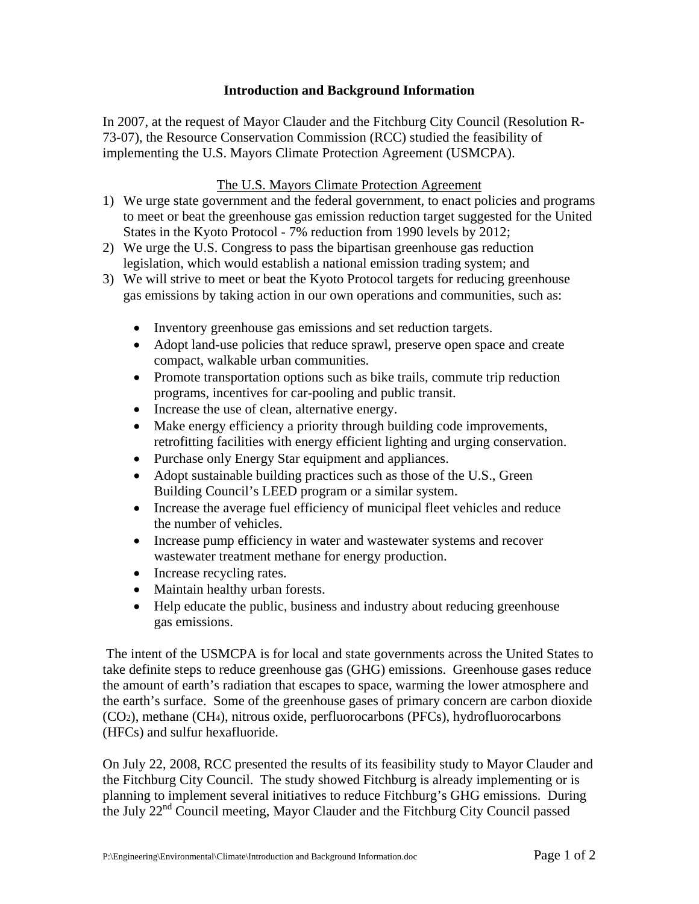## **Introduction and Background Information**

In 2007, at the request of Mayor Clauder and the Fitchburg City Council (Resolution R-73-07), the Resource Conservation Commission (RCC) studied the feasibility of implementing the U.S. Mayors Climate Protection Agreement (USMCPA).

## The U.S. Mayors Climate Protection Agreement

- 1) We urge state government and the federal government, to enact policies and programs to meet or beat the greenhouse gas emission reduction target suggested for the United States in the Kyoto Protocol - 7% reduction from 1990 levels by 2012;
- 2) We urge the U.S. Congress to pass the bipartisan greenhouse gas reduction legislation, which would establish a national emission trading system; and
- 3) We will strive to meet or beat the Kyoto Protocol targets for reducing greenhouse gas emissions by taking action in our own operations and communities, such as:
	- Inventory greenhouse gas emissions and set reduction targets.
	- Adopt land-use policies that reduce sprawl, preserve open space and create compact, walkable urban communities.
	- Promote transportation options such as bike trails, commute trip reduction programs, incentives for car-pooling and public transit.
	- Increase the use of clean, alternative energy.
	- Make energy efficiency a priority through building code improvements, retrofitting facilities with energy efficient lighting and urging conservation.
	- Purchase only Energy Star equipment and appliances.
	- Adopt sustainable building practices such as those of the U.S., Green Building Council's LEED program or a similar system.
	- Increase the average fuel efficiency of municipal fleet vehicles and reduce the number of vehicles.
	- Increase pump efficiency in water and wastewater systems and recover wastewater treatment methane for energy production.
	- Increase recycling rates.
	- Maintain healthy urban forests.
	- Help educate the public, business and industry about reducing greenhouse gas emissions.

 The intent of the USMCPA is for local and state governments across the United States to take definite steps to reduce greenhouse gas (GHG) emissions. Greenhouse gases reduce the amount of earth's radiation that escapes to space, warming the lower atmosphere and the earth's surface. Some of the greenhouse gases of primary concern are carbon dioxide (CO2), methane (CH4), nitrous oxide, perfluorocarbons (PFCs), hydrofluorocarbons (HFCs) and sulfur hexafluoride.

On July 22, 2008, RCC presented the results of its feasibility study to Mayor Clauder and the Fitchburg City Council. The study showed Fitchburg is already implementing or is planning to implement several initiatives to reduce Fitchburg's GHG emissions. During the July 22nd Council meeting, Mayor Clauder and the Fitchburg City Council passed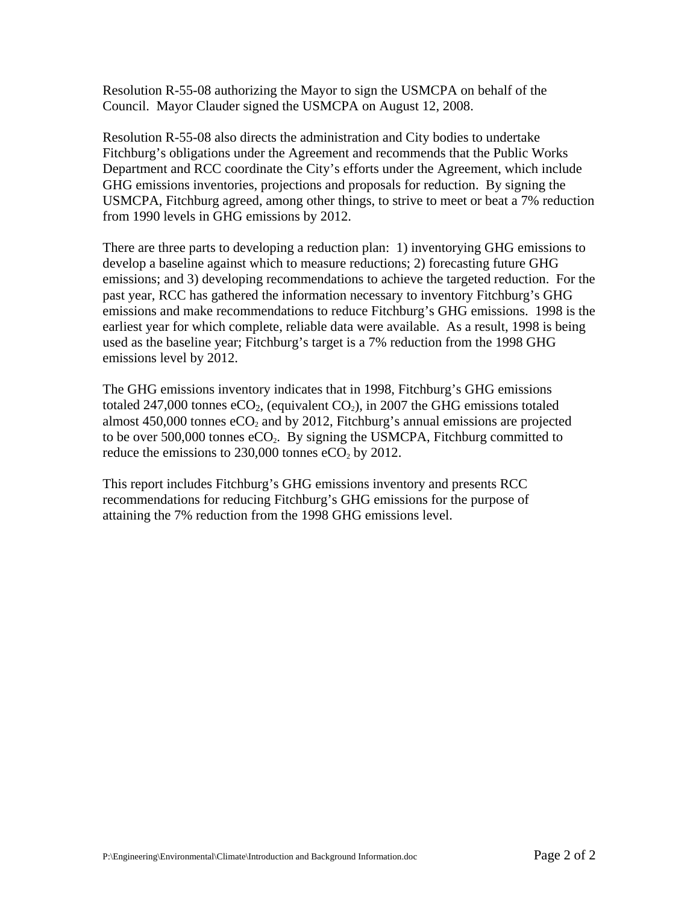Resolution R-55-08 authorizing the Mayor to sign the USMCPA on behalf of the Council. Mayor Clauder signed the USMCPA on August 12, 2008.

Resolution R-55-08 also directs the administration and City bodies to undertake Fitchburg's obligations under the Agreement and recommends that the Public Works Department and RCC coordinate the City's efforts under the Agreement, which include GHG emissions inventories, projections and proposals for reduction. By signing the USMCPA, Fitchburg agreed, among other things, to strive to meet or beat a 7% reduction from 1990 levels in GHG emissions by 2012.

There are three parts to developing a reduction plan: 1) inventorying GHG emissions to develop a baseline against which to measure reductions; 2) forecasting future GHG emissions; and 3) developing recommendations to achieve the targeted reduction. For the past year, RCC has gathered the information necessary to inventory Fitchburg's GHG emissions and make recommendations to reduce Fitchburg's GHG emissions. 1998 is the earliest year for which complete, reliable data were available. As a result, 1998 is being used as the baseline year; Fitchburg's target is a 7% reduction from the 1998 GHG emissions level by 2012.

The GHG emissions inventory indicates that in 1998, Fitchburg's GHG emissions totaled 247,000 tonnes eCO<sub>2</sub>, (equivalent CO<sub>2</sub>), in 2007 the GHG emissions totaled almost  $450,000$  tonnes  $eCO<sub>2</sub>$  and by 2012, Fitchburg's annual emissions are projected to be over 500,000 tonnes  $eCO<sub>2</sub>$ . By signing the USMCPA, Fitchburg committed to reduce the emissions to  $230,000$  tonnes eCO<sub>2</sub> by 2012.

This report includes Fitchburg's GHG emissions inventory and presents RCC recommendations for reducing Fitchburg's GHG emissions for the purpose of attaining the 7% reduction from the 1998 GHG emissions level.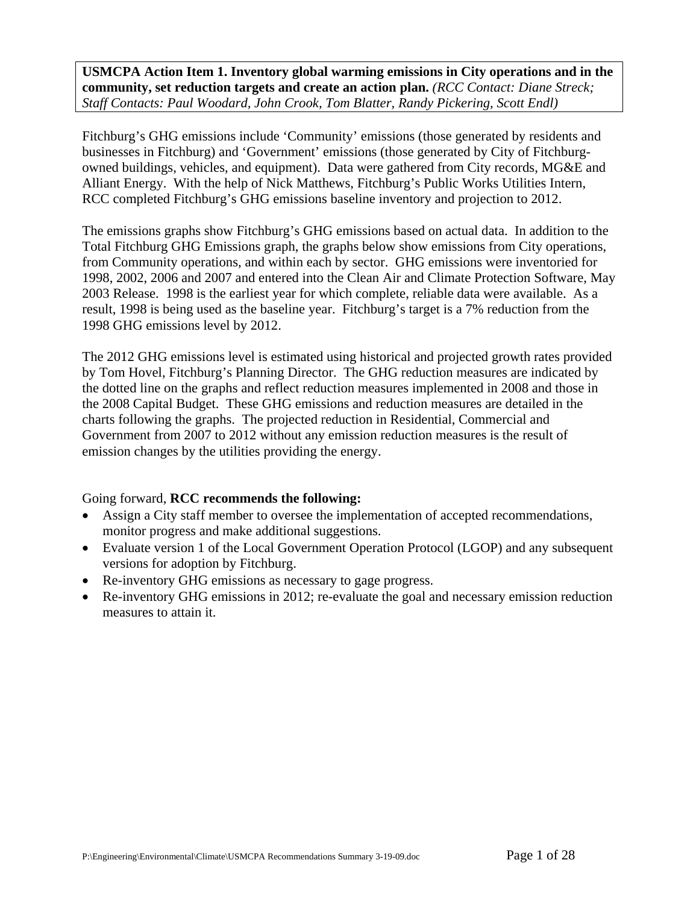**USMCPA Action Item 1. Inventory global warming emissions in City operations and in the community, set reduction targets and create an action plan.** *(RCC Contact: Diane Streck; Staff Contacts: Paul Woodard, John Crook, Tom Blatter, Randy Pickering, Scott Endl)*

Fitchburg's GHG emissions include 'Community' emissions (those generated by residents and businesses in Fitchburg) and 'Government' emissions (those generated by City of Fitchburgowned buildings, vehicles, and equipment). Data were gathered from City records, MG&E and Alliant Energy. With the help of Nick Matthews, Fitchburg's Public Works Utilities Intern, RCC completed Fitchburg's GHG emissions baseline inventory and projection to 2012.

The emissions graphs show Fitchburg's GHG emissions based on actual data. In addition to the Total Fitchburg GHG Emissions graph, the graphs below show emissions from City operations, from Community operations, and within each by sector. GHG emissions were inventoried for 1998, 2002, 2006 and 2007 and entered into the Clean Air and Climate Protection Software, May 2003 Release. 1998 is the earliest year for which complete, reliable data were available. As a result, 1998 is being used as the baseline year. Fitchburg's target is a 7% reduction from the 1998 GHG emissions level by 2012.

The 2012 GHG emissions level is estimated using historical and projected growth rates provided by Tom Hovel, Fitchburg's Planning Director. The GHG reduction measures are indicated by the dotted line on the graphs and reflect reduction measures implemented in 2008 and those in the 2008 Capital Budget. These GHG emissions and reduction measures are detailed in the charts following the graphs. The projected reduction in Residential, Commercial and Government from 2007 to 2012 without any emission reduction measures is the result of emission changes by the utilities providing the energy.

## Going forward, **RCC recommends the following:**

- Assign a City staff member to oversee the implementation of accepted recommendations, monitor progress and make additional suggestions.
- Evaluate version 1 of the Local Government Operation Protocol (LGOP) and any subsequent versions for adoption by Fitchburg.
- Re-inventory GHG emissions as necessary to gage progress.
- Re-inventory GHG emissions in 2012; re-evaluate the goal and necessary emission reduction measures to attain it.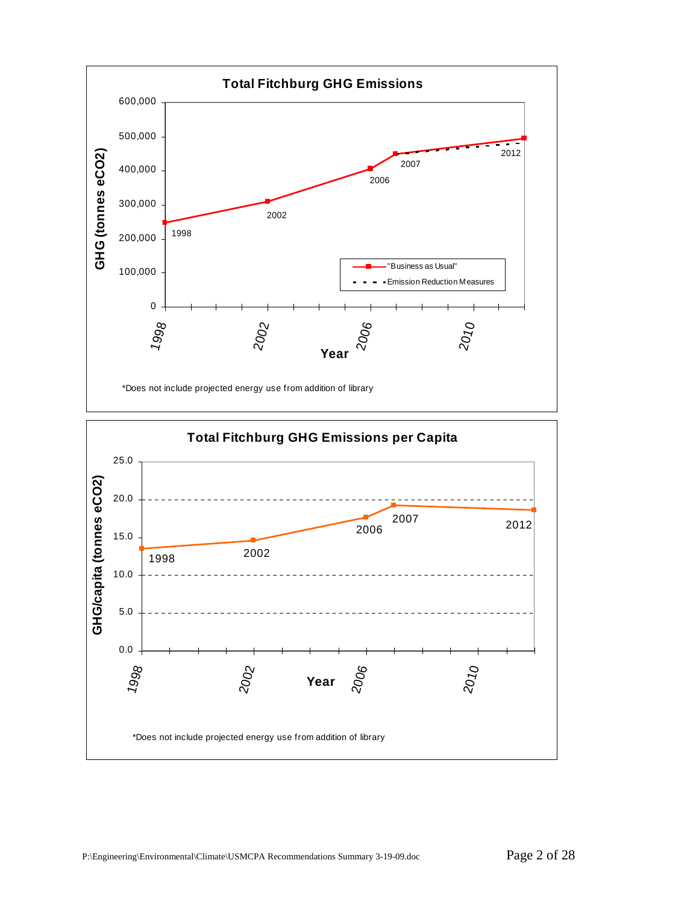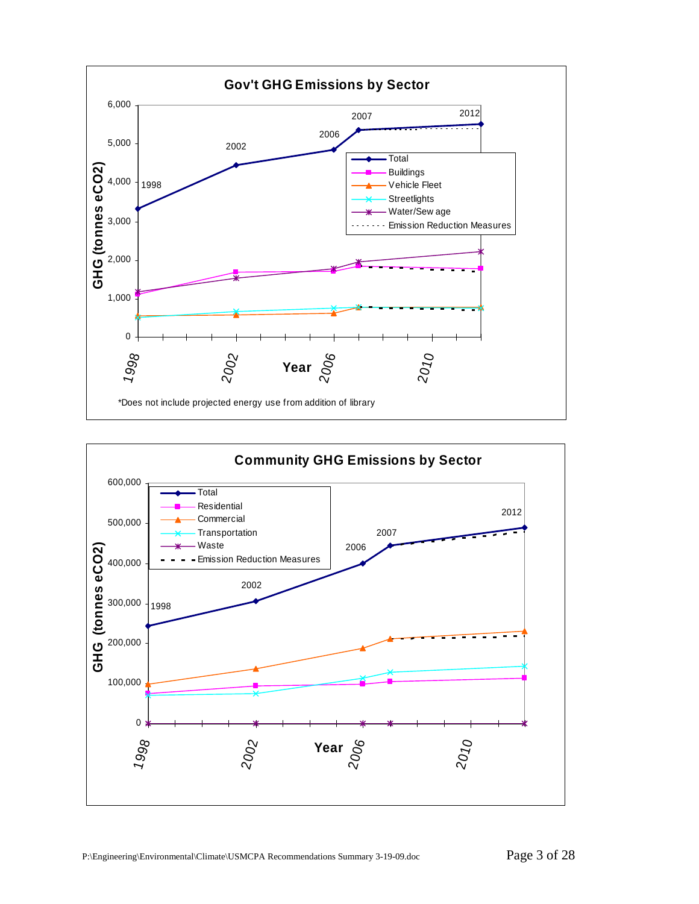

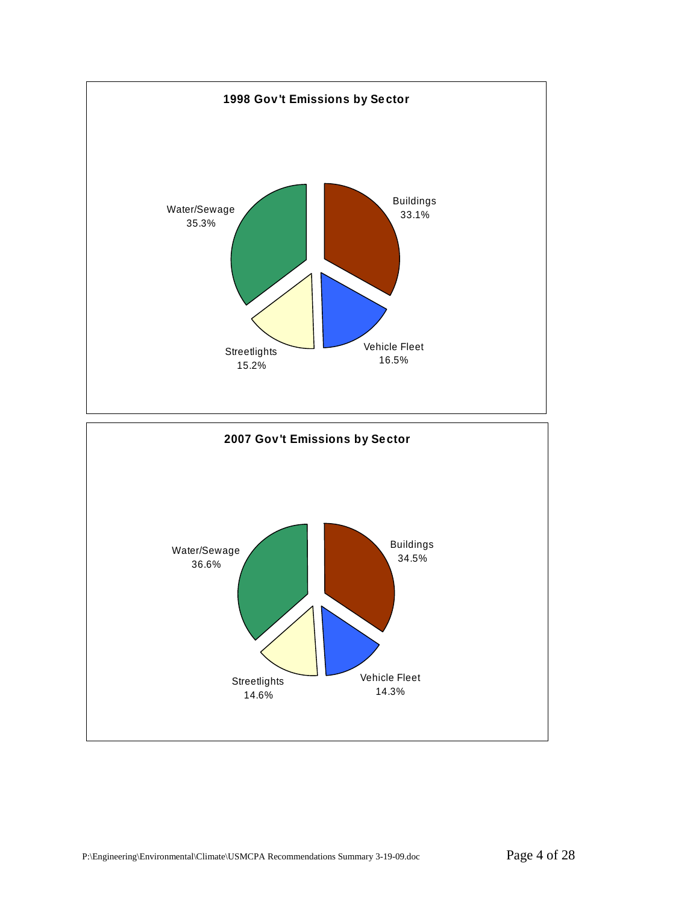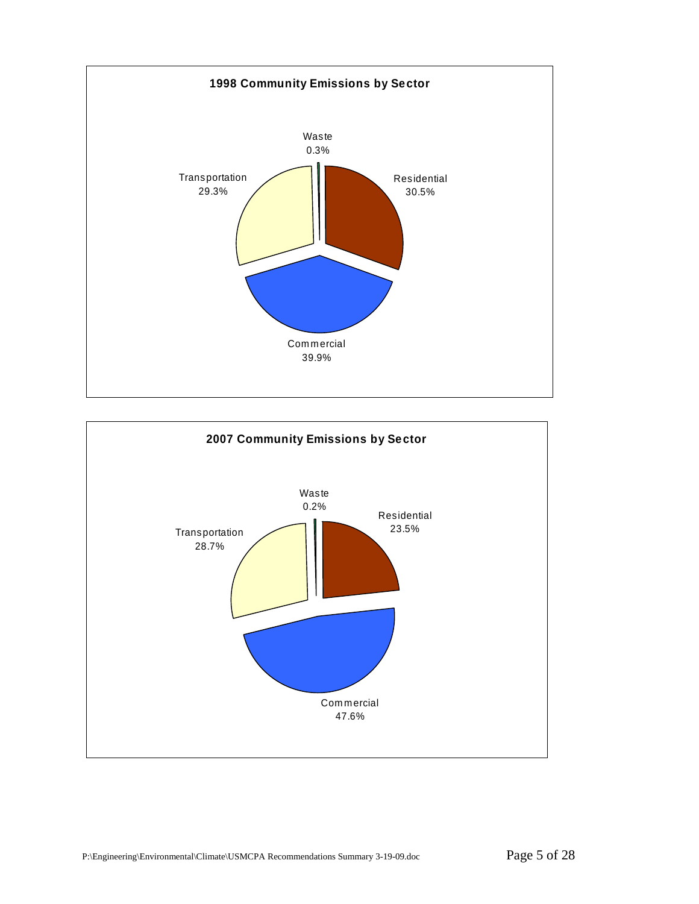

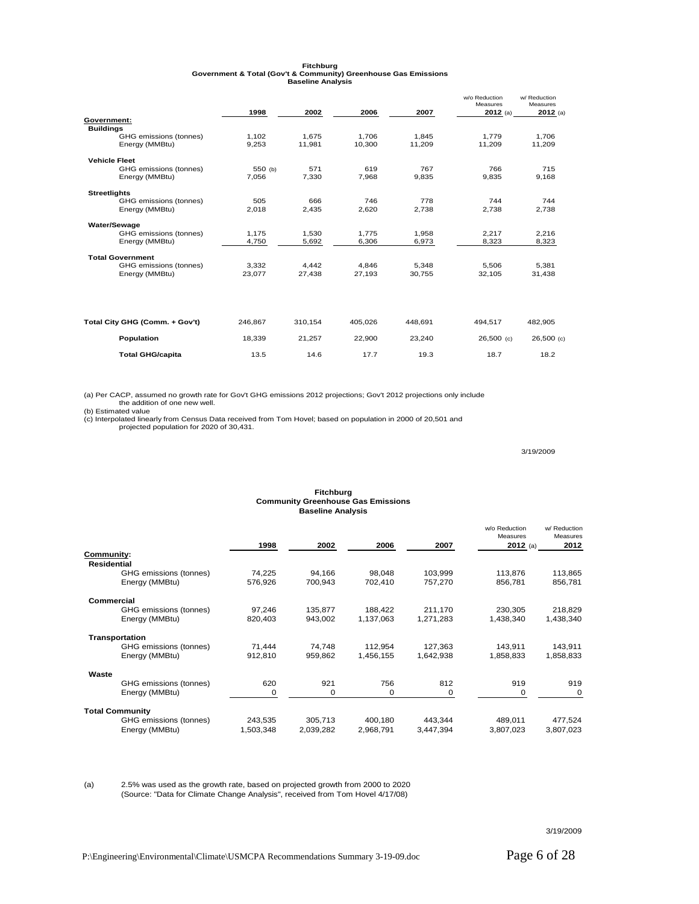|                                | 1998    | 2002    | 2006    | 2007    | w/o Reduction<br>Measures<br>$2012$ (a) | w/ Reduction<br>Measures<br>$2012$ (a) |
|--------------------------------|---------|---------|---------|---------|-----------------------------------------|----------------------------------------|
| Government:                    |         |         |         |         |                                         |                                        |
| <b>Buildings</b>               |         |         |         |         |                                         |                                        |
| GHG emissions (tonnes)         | 1,102   | 1.675   | 1.706   | 1,845   | 1.779                                   | 1.706                                  |
| Energy (MMBtu)                 | 9.253   | 11.981  | 10.300  | 11.209  | 11.209                                  | 11,209                                 |
| <b>Vehicle Fleet</b>           |         |         |         |         |                                         |                                        |
| GHG emissions (tonnes)         | 550 (b) | 571     | 619     | 767     | 766                                     | 715                                    |
| Energy (MMBtu)                 | 7,056   | 7,330   | 7,968   | 9,835   | 9,835                                   | 9,168                                  |
| <b>Streetlights</b>            |         |         |         |         |                                         |                                        |
| GHG emissions (tonnes)         | 505     | 666     | 746     | 778     | 744                                     | 744                                    |
| Energy (MMBtu)                 | 2.018   | 2.435   | 2.620   | 2.738   | 2.738                                   | 2.738                                  |
| Water/Sewage                   |         |         |         |         |                                         |                                        |
| GHG emissions (tonnes)         | 1.175   | 1.530   | 1.775   | 1.958   | 2.217                                   | 2.216                                  |
| Energy (MMBtu)                 | 4,750   | 5,692   | 6,306   | 6,973   | 8,323                                   | 8,323                                  |
| <b>Total Government</b>        |         |         |         |         |                                         |                                        |
| GHG emissions (tonnes)         | 3.332   | 4.442   | 4,846   | 5,348   | 5.506                                   | 5,381                                  |
| Energy (MMBtu)                 | 23.077  | 27.438  | 27.193  | 30.755  | 32.105                                  | 31.438                                 |
|                                |         |         |         |         |                                         |                                        |
| Total City GHG (Comm. + Gov't) | 246.867 | 310,154 | 405.026 | 448.691 | 494.517                                 | 482.905                                |
| Population                     | 18.339  | 21.257  | 22.900  | 23.240  | $26,500$ (c)                            | 26,500 (c)                             |
| <b>Total GHG/capita</b>        | 13.5    | 14.6    | 17.7    | 19.3    | 18.7                                    | 18.2                                   |

**Fitchburg Government & Total (Gov't & Community) Greenhouse Gas Emissions Baseline Analysis**

(a) Per CACP, assumed no growth rate for Gov't GHG emissions 2012 projections; Gov't 2012 projections only include the addition of one new well. (b) Estimated value

(c) Interpolated linearly from Census Data received from Tom Hovel; based on population in 2000 of 20,501 and projected population for 2020 of 30,431.

3/19/2009

#### **Fitchburg Community Greenhouse Gas Emissions Baseline Analysis** w/o Reduction Measures<br>2012 (a) w/ Reduction Measures<br>2012 **1998 2002 2006 2007 2012** (a) **2012 Community: Residential** GHG emissions (tonnes) 74,225 94,166 98,048 103,999 113,876 113,865 Energy (MMBtu)  **Commercial** GHG emissions (tonnes) 97,246 135,877 188,422 211,170 230,305 218,829 Energy (MMBtu) 820,403 943,002 1,137,063 1,271,283 1,438,340 1,438,340  **Transportation** GHG emissions (tonnes)  $71,444$   $74,748$  112,954 127,363 143,911 143,911 Energy (MMBtu) 912,810 959,862 1,456,155 1,642,938 1,858,833 1,858,833  **Waste** GHG emissions (tonnes)  $620$  921 756 812 919 919 919<br>
Energy (MMBtu) 0 0 0 0 0 0

Energy (MMBtu) **Total Community** GHG emissions (tonnes)  $243,535$   $305,713$   $400,180$   $443,344$   $489,011$   $477,524$ <br>Energy (MMBtu)  $1,503,348$   $2,039,282$   $2,968,791$   $3,447,394$   $3,807,023$   $3,807,023$ Energy (MMBtu)

(a) 2.5% was used as the growth rate, based on projected growth from 2000 to 2020 (Source: "Data for Climate Change Analysis", received from Tom Hovel 4/17/08)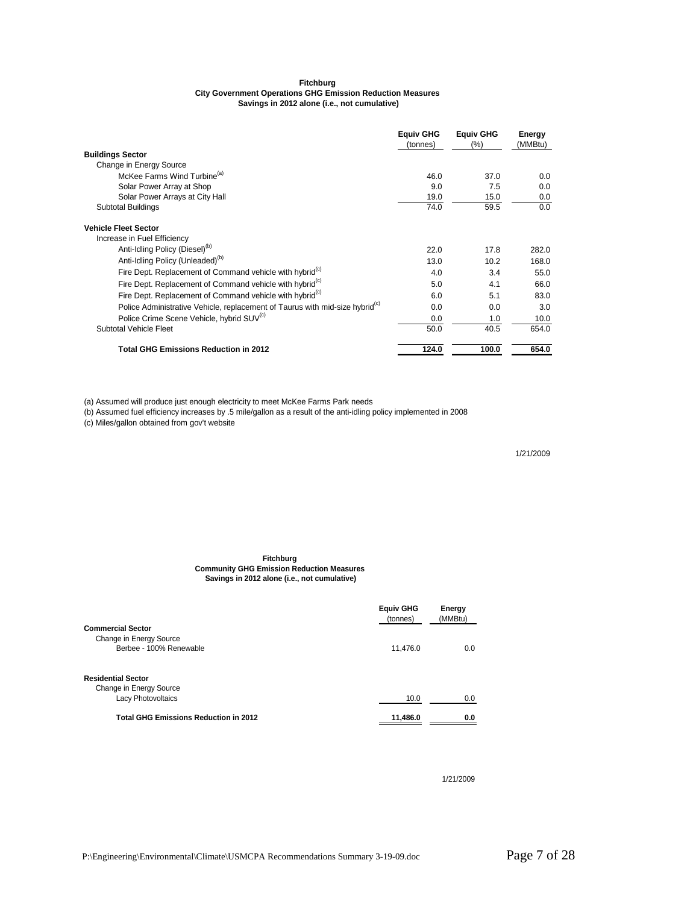#### **Fitchburg City Government Operations GHG Emission Reduction Measures Savings in 2012 alone (i.e., not cumulative)**

|                                                                                          | <b>Equiv GHG</b><br>(tonnes) | <b>Equiv GHG</b><br>(%) | Energy<br>(MMBtu) |
|------------------------------------------------------------------------------------------|------------------------------|-------------------------|-------------------|
| <b>Buildings Sector</b>                                                                  |                              |                         |                   |
| Change in Energy Source                                                                  |                              |                         |                   |
| McKee Farms Wind Turbine <sup>(a)</sup>                                                  | 46.0                         | 37.0                    | 0.0               |
| Solar Power Array at Shop                                                                | 9.0                          | 7.5                     | 0.0               |
| Solar Power Arrays at City Hall                                                          | 19.0                         | 15.0                    | 0.0               |
| <b>Subtotal Buildings</b>                                                                | 74.0                         | 59.5                    | 0.0               |
| <b>Vehicle Fleet Sector</b>                                                              |                              |                         |                   |
| Increase in Fuel Efficiency                                                              |                              |                         |                   |
| Anti-Idling Policy (Diesel) <sup>(D)</sup>                                               | 22.0                         | 17.8                    | 282.0             |
| Anti-Idling Policy (Unleaded) <sup>(b)</sup>                                             | 13.0                         | 10.2                    | 168.0             |
| Fire Dept. Replacement of Command vehicle with hybrid <sup>(c)</sup>                     | 4.0                          | 3.4                     | 55.0              |
| Fire Dept. Replacement of Command vehicle with hybrid <sup>(c)</sup>                     | 5.0                          | 4.1                     | 66.0              |
| Fire Dept. Replacement of Command vehicle with hybrid <sup>(c)</sup>                     | 6.0                          | 5.1                     | 83.0              |
| Police Administrative Vehicle, replacement of Taurus with mid-size hybrid <sup>(c)</sup> | 0.0                          | 0.0                     | 3.0               |
| Police Crime Scene Vehicle, hybrid SUV <sup>(c)</sup>                                    | 0.0                          | 1.0                     | 10.0              |
| <b>Subtotal Vehicle Fleet</b>                                                            | 50.0                         | 40.5                    | 654.0             |
| <b>Total GHG Emissions Reduction in 2012</b>                                             | 124.0                        | 100.0                   | 654.0             |

(a) Assumed will produce just enough electricity to meet McKee Farms Park needs

(b) Assumed fuel efficiency increases by .5 mile/gallon as a result of the anti-idling policy implemented in 2008

(c) Miles/gallon obtained from gov't website

1/21/2009

#### **Fitchburg Community GHG Emission Reduction Measures Savings in 2012 alone (i.e., not cumulative)**

|                                              | <b>Equiv GHG</b><br>(tonnes) | Energy<br>(MMBtu) |
|----------------------------------------------|------------------------------|-------------------|
| <b>Commercial Sector</b>                     |                              |                   |
| Change in Energy Source                      |                              |                   |
| Berbee - 100% Renewable                      | 11,476.0                     | 0.0               |
| <b>Residential Sector</b>                    |                              |                   |
| Change in Energy Source                      |                              |                   |
| <b>Lacy Photovoltaics</b>                    | 10.0                         | 0.0               |
| <b>Total GHG Emissions Reduction in 2012</b> | 11,486.0                     | 0.0               |

1/21/2009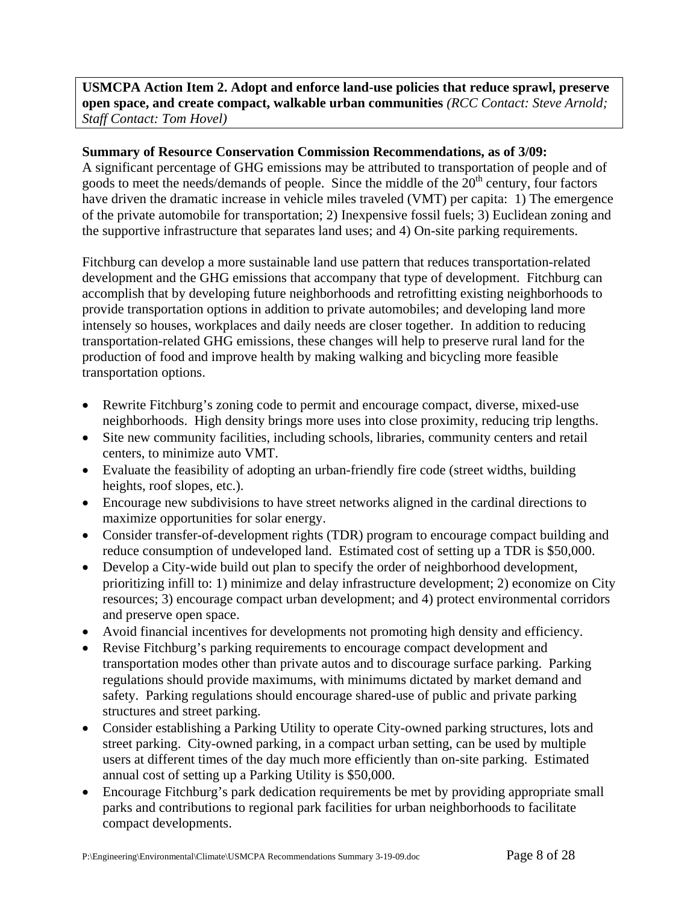## **USMCPA Action Item 2. Adopt and enforce land-use policies that reduce sprawl, preserve open space, and create compact, walkable urban communities** *(RCC Contact: Steve Arnold; Staff Contact: Tom Hovel)*

#### **Summary of Resource Conservation Commission Recommendations, as of 3/09:**

A significant percentage of GHG emissions may be attributed to transportation of people and of goods to meet the needs/demands of people. Since the middle of the  $20<sup>th</sup>$  century, four factors have driven the dramatic increase in vehicle miles traveled (VMT) per capita: 1) The emergence of the private automobile for transportation; 2) Inexpensive fossil fuels; 3) Euclidean zoning and the supportive infrastructure that separates land uses; and 4) On-site parking requirements.

Fitchburg can develop a more sustainable land use pattern that reduces transportation-related development and the GHG emissions that accompany that type of development. Fitchburg can accomplish that by developing future neighborhoods and retrofitting existing neighborhoods to provide transportation options in addition to private automobiles; and developing land more intensely so houses, workplaces and daily needs are closer together. In addition to reducing transportation-related GHG emissions, these changes will help to preserve rural land for the production of food and improve health by making walking and bicycling more feasible transportation options.

- Rewrite Fitchburg's zoning code to permit and encourage compact, diverse, mixed-use neighborhoods. High density brings more uses into close proximity, reducing trip lengths.
- Site new community facilities, including schools, libraries, community centers and retail centers, to minimize auto VMT.
- Evaluate the feasibility of adopting an urban-friendly fire code (street widths, building heights, roof slopes, etc.).
- Encourage new subdivisions to have street networks aligned in the cardinal directions to maximize opportunities for solar energy.
- Consider transfer-of-development rights (TDR) program to encourage compact building and reduce consumption of undeveloped land. Estimated cost of setting up a TDR is \$50,000.
- Develop a City-wide build out plan to specify the order of neighborhood development, prioritizing infill to: 1) minimize and delay infrastructure development; 2) economize on City resources; 3) encourage compact urban development; and 4) protect environmental corridors and preserve open space.
- Avoid financial incentives for developments not promoting high density and efficiency.
- Revise Fitchburg's parking requirements to encourage compact development and transportation modes other than private autos and to discourage surface parking. Parking regulations should provide maximums, with minimums dictated by market demand and safety. Parking regulations should encourage shared-use of public and private parking structures and street parking.
- Consider establishing a Parking Utility to operate City-owned parking structures, lots and street parking. City-owned parking, in a compact urban setting, can be used by multiple users at different times of the day much more efficiently than on-site parking. Estimated annual cost of setting up a Parking Utility is \$50,000.
- Encourage Fitchburg's park dedication requirements be met by providing appropriate small parks and contributions to regional park facilities for urban neighborhoods to facilitate compact developments.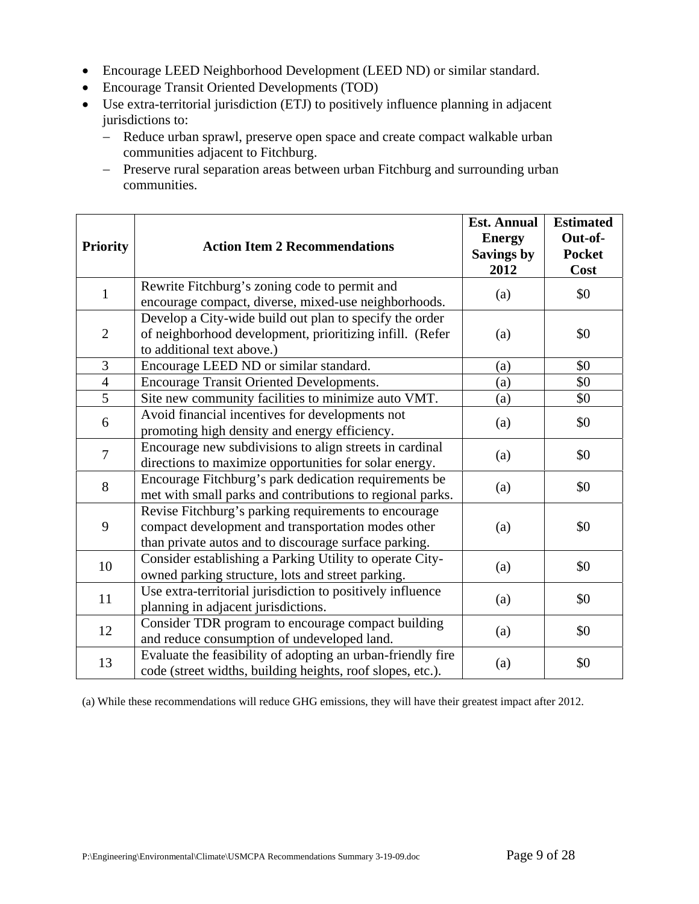- Encourage LEED Neighborhood Development (LEED ND) or similar standard.
- Encourage Transit Oriented Developments (TOD)
- Use extra-territorial jurisdiction (ETJ) to positively influence planning in adjacent jurisdictions to:
	- − Reduce urban sprawl, preserve open space and create compact walkable urban communities adjacent to Fitchburg.
	- − Preserve rural separation areas between urban Fitchburg and surrounding urban communities.

| <b>Priority</b> | <b>Action Item 2 Recommendations</b>                                                                                                                                | <b>Est. Annual</b><br><b>Energy</b><br><b>Savings by</b><br>2012 | <b>Estimated</b><br>Out-of-<br><b>Pocket</b><br>Cost |
|-----------------|---------------------------------------------------------------------------------------------------------------------------------------------------------------------|------------------------------------------------------------------|------------------------------------------------------|
| $\mathbf{1}$    | Rewrite Fitchburg's zoning code to permit and<br>encourage compact, diverse, mixed-use neighborhoods.                                                               | (a)                                                              | \$0                                                  |
| $\mathfrak{2}$  | Develop a City-wide build out plan to specify the order<br>of neighborhood development, prioritizing infill. (Refer<br>to additional text above.)                   | (a)                                                              | \$0                                                  |
| 3               | Encourage LEED ND or similar standard.                                                                                                                              | (a)                                                              | \$0                                                  |
| $\overline{4}$  | <b>Encourage Transit Oriented Developments.</b>                                                                                                                     | (a)                                                              | \$0                                                  |
| $\overline{5}$  | Site new community facilities to minimize auto VMT.                                                                                                                 | (a)                                                              | \$0                                                  |
| 6               | Avoid financial incentives for developments not<br>promoting high density and energy efficiency.                                                                    | (a)                                                              | \$0                                                  |
| $\overline{7}$  | Encourage new subdivisions to align streets in cardinal<br>directions to maximize opportunities for solar energy.                                                   | (a)                                                              | \$0                                                  |
| 8               | Encourage Fitchburg's park dedication requirements be<br>met with small parks and contributions to regional parks.                                                  | (a)                                                              | \$0                                                  |
| 9               | Revise Fitchburg's parking requirements to encourage<br>compact development and transportation modes other<br>than private autos and to discourage surface parking. | (a)                                                              | \$0                                                  |
| 10              | Consider establishing a Parking Utility to operate City-<br>owned parking structure, lots and street parking.                                                       | (a)                                                              | \$0                                                  |
| 11              | Use extra-territorial jurisdiction to positively influence<br>planning in adjacent jurisdictions.                                                                   | (a)                                                              | \$0                                                  |
| 12              | Consider TDR program to encourage compact building<br>and reduce consumption of undeveloped land.                                                                   | (a)                                                              | \$0                                                  |
| 13              | Evaluate the feasibility of adopting an urban-friendly fire<br>code (street widths, building heights, roof slopes, etc.).                                           | (a)                                                              | \$0                                                  |

(a) While these recommendations will reduce GHG emissions, they will have their greatest impact after 2012.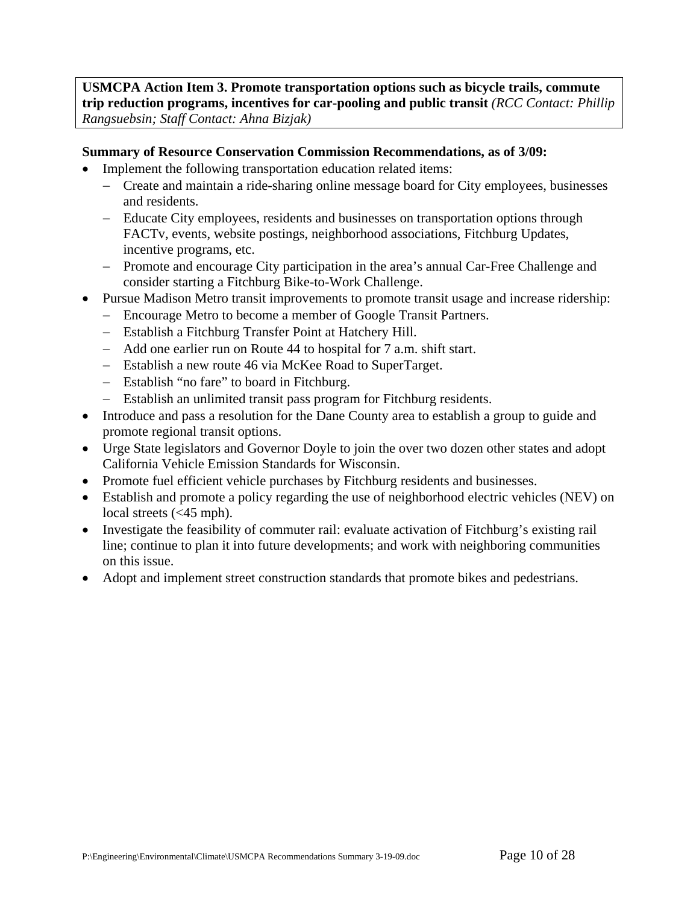**USMCPA Action Item 3. Promote transportation options such as bicycle trails, commute trip reduction programs, incentives for car-pooling and public transit** *(RCC Contact: Phillip Rangsuebsin; Staff Contact: Ahna Bizjak)* 

## **Summary of Resource Conservation Commission Recommendations, as of 3/09:**

- Implement the following transportation education related items:
	- − Create and maintain a ride-sharing online message board for City employees, businesses and residents.
	- − Educate City employees, residents and businesses on transportation options through FACTv, events, website postings, neighborhood associations, Fitchburg Updates, incentive programs, etc.
	- − Promote and encourage City participation in the area's annual Car-Free Challenge and consider starting a Fitchburg Bike-to-Work Challenge.
- Pursue Madison Metro transit improvements to promote transit usage and increase ridership:
	- − Encourage Metro to become a member of Google Transit Partners.
	- − Establish a Fitchburg Transfer Point at Hatchery Hill.
	- − Add one earlier run on Route 44 to hospital for 7 a.m. shift start.
	- − Establish a new route 46 via McKee Road to SuperTarget.
	- − Establish "no fare" to board in Fitchburg.
	- − Establish an unlimited transit pass program for Fitchburg residents.
- Introduce and pass a resolution for the Dane County area to establish a group to guide and promote regional transit options.
- Urge State legislators and Governor Doyle to join the over two dozen other states and adopt California Vehicle Emission Standards for Wisconsin.
- Promote fuel efficient vehicle purchases by Fitchburg residents and businesses.
- Establish and promote a policy regarding the use of neighborhood electric vehicles (NEV) on local streets (<45 mph).
- Investigate the feasibility of commuter rail: evaluate activation of Fitchburg's existing rail line; continue to plan it into future developments; and work with neighboring communities on this issue.
- Adopt and implement street construction standards that promote bikes and pedestrians.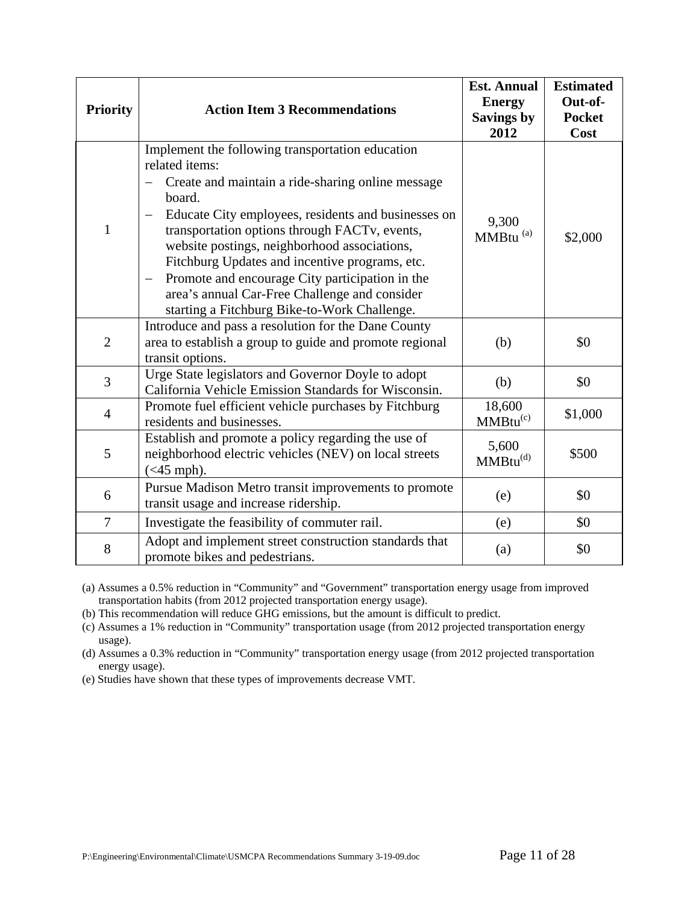| <b>Priority</b> | <b>Action Item 3 Recommendations</b>                                                                                                                                                                                                                                                                                                                                                                                                                                                                                                                    | <b>Est. Annual</b><br><b>Energy</b><br><b>Savings by</b><br>2012 | <b>Estimated</b><br>Out-of-<br><b>Pocket</b><br>Cost |
|-----------------|---------------------------------------------------------------------------------------------------------------------------------------------------------------------------------------------------------------------------------------------------------------------------------------------------------------------------------------------------------------------------------------------------------------------------------------------------------------------------------------------------------------------------------------------------------|------------------------------------------------------------------|------------------------------------------------------|
| $\mathbf{1}$    | Implement the following transportation education<br>related items:<br>Create and maintain a ride-sharing online message<br>board.<br>Educate City employees, residents and businesses on<br>$\overline{\phantom{0}}$<br>transportation options through FACTv, events,<br>website postings, neighborhood associations,<br>Fitchburg Updates and incentive programs, etc.<br>Promote and encourage City participation in the<br>$\overline{\phantom{m}}$<br>area's annual Car-Free Challenge and consider<br>starting a Fitchburg Bike-to-Work Challenge. | 9,300<br>MMBtu <sup>(a)</sup>                                    | \$2,000                                              |
| $\overline{2}$  | Introduce and pass a resolution for the Dane County<br>area to establish a group to guide and promote regional<br>transit options.                                                                                                                                                                                                                                                                                                                                                                                                                      | (b)                                                              | \$0                                                  |
| $\overline{3}$  | Urge State legislators and Governor Doyle to adopt<br>California Vehicle Emission Standards for Wisconsin.                                                                                                                                                                                                                                                                                                                                                                                                                                              | (b)                                                              | \$0                                                  |
| $\overline{4}$  | Promote fuel efficient vehicle purchases by Fitchburg<br>residents and businesses.                                                                                                                                                                                                                                                                                                                                                                                                                                                                      | 18,600<br>$MMBtu^{(c)}$                                          | \$1,000                                              |
| 5               | Establish and promote a policy regarding the use of<br>neighborhood electric vehicles (NEV) on local streets<br>$(<$ 45 mph).                                                                                                                                                                                                                                                                                                                                                                                                                           | 5,600<br>$MMBtu^{(d)}$                                           | \$500                                                |
| 6               | Pursue Madison Metro transit improvements to promote<br>transit usage and increase ridership.                                                                                                                                                                                                                                                                                                                                                                                                                                                           | (e)                                                              | \$0                                                  |
| 7               | Investigate the feasibility of commuter rail.                                                                                                                                                                                                                                                                                                                                                                                                                                                                                                           | (e)                                                              | \$0                                                  |
| 8               | Adopt and implement street construction standards that<br>promote bikes and pedestrians.                                                                                                                                                                                                                                                                                                                                                                                                                                                                | (a)                                                              | \$0                                                  |

(a) Assumes a 0.5% reduction in "Community" and "Government" transportation energy usage from improved transportation habits (from 2012 projected transportation energy usage).

(b) This recommendation will reduce GHG emissions, but the amount is difficult to predict.

(c) Assumes a 1% reduction in "Community" transportation usage (from 2012 projected transportation energy usage).

(d) Assumes a 0.3% reduction in "Community" transportation energy usage (from 2012 projected transportation energy usage).

(e) Studies have shown that these types of improvements decrease VMT.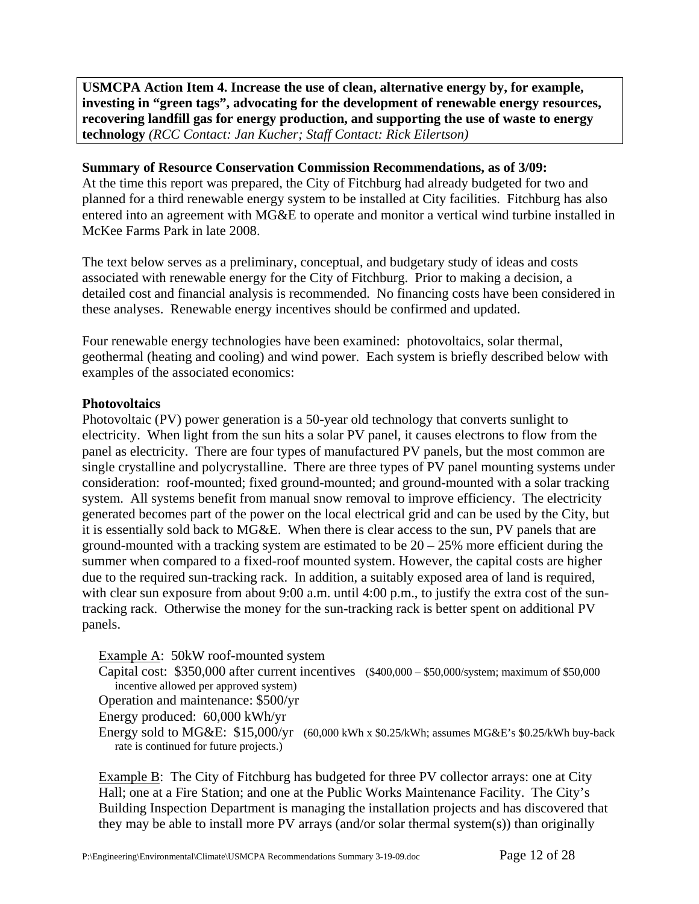**USMCPA Action Item 4. Increase the use of clean, alternative energy by, for example, investing in "green tags", advocating for the development of renewable energy resources, recovering landfill gas for energy production, and supporting the use of waste to energy technology** *(RCC Contact: Jan Kucher; Staff Contact: Rick Eilertson)*

## **Summary of Resource Conservation Commission Recommendations, as of 3/09:**

At the time this report was prepared, the City of Fitchburg had already budgeted for two and planned for a third renewable energy system to be installed at City facilities. Fitchburg has also entered into an agreement with MG&E to operate and monitor a vertical wind turbine installed in McKee Farms Park in late 2008.

The text below serves as a preliminary, conceptual, and budgetary study of ideas and costs associated with renewable energy for the City of Fitchburg. Prior to making a decision, a detailed cost and financial analysis is recommended. No financing costs have been considered in these analyses. Renewable energy incentives should be confirmed and updated.

Four renewable energy technologies have been examined: photovoltaics, solar thermal, geothermal (heating and cooling) and wind power. Each system is briefly described below with examples of the associated economics:

## **Photovoltaics**

Photovoltaic (PV) power generation is a 50-year old technology that converts sunlight to electricity. When light from the sun hits a solar PV panel, it causes electrons to flow from the panel as electricity. There are four types of manufactured PV panels, but the most common are single crystalline and polycrystalline. There are three types of PV panel mounting systems under consideration: roof-mounted; fixed ground-mounted; and ground-mounted with a solar tracking system. All systems benefit from manual snow removal to improve efficiency. The electricity generated becomes part of the power on the local electrical grid and can be used by the City, but it is essentially sold back to MG&E. When there is clear access to the sun, PV panels that are ground-mounted with a tracking system are estimated to be  $20 - 25%$  more efficient during the summer when compared to a fixed-roof mounted system. However, the capital costs are higher due to the required sun-tracking rack. In addition, a suitably exposed area of land is required, with clear sun exposure from about 9:00 a.m. until 4:00 p.m., to justify the extra cost of the suntracking rack. Otherwise the money for the sun-tracking rack is better spent on additional PV panels.

## Example A: 50kW roof-mounted system

Capital cost: \$350,000 after current incentives (\$400,000 – \$50,000/system; maximum of \$50,000 incentive allowed per approved system)

Operation and maintenance: \$500/yr

Energy produced: 60,000 kWh/yr

Energy sold to MG&E:  $$15,000/yr$  (60,000 kWh x  $$0.25/kWh$ ; assumes MG&E's  $$0.25/kWh$  buy-back rate is continued for future projects.)

Example B:The City of Fitchburg has budgeted for three PV collector arrays: one at City Hall; one at a Fire Station; and one at the Public Works Maintenance Facility. The City's Building Inspection Department is managing the installation projects and has discovered that they may be able to install more PV arrays (and/or solar thermal system(s)) than originally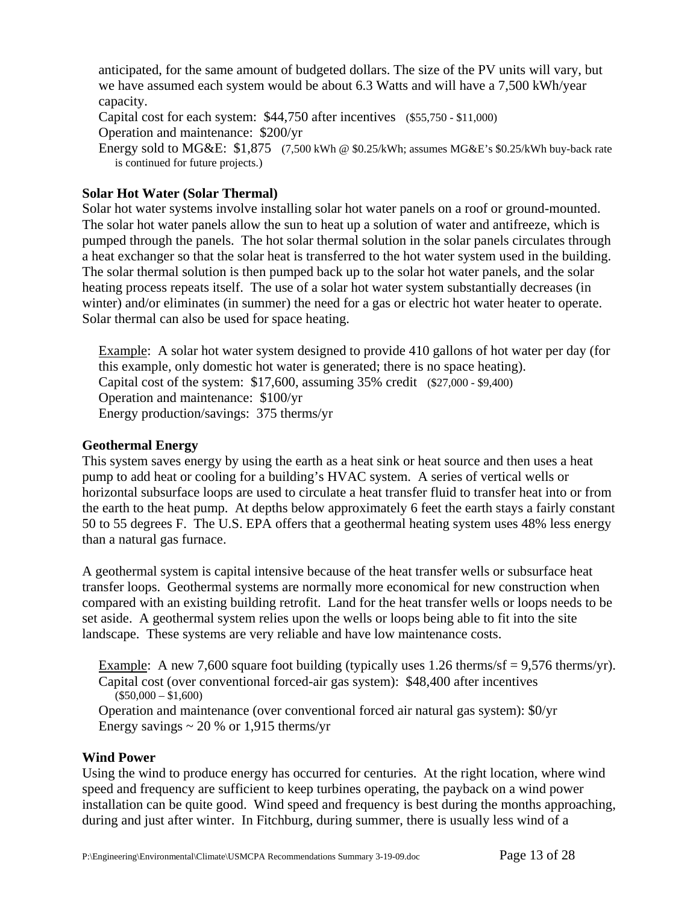anticipated, for the same amount of budgeted dollars. The size of the PV units will vary, but we have assumed each system would be about 6.3 Watts and will have a 7,500 kWh/year capacity.

Capital cost for each system: \$44,750 after incentives (\$55,750 - \$11,000)

Operation and maintenance: \$200/yr

Energy sold to MG&E: \$1,875 (7,500 kWh @ \$0.25/kWh; assumes MG&E's \$0.25/kWh buy-back rate is continued for future projects.)

## **Solar Hot Water (Solar Thermal)**

Solar hot water systems involve installing solar hot water panels on a roof or ground-mounted. The solar hot water panels allow the sun to heat up a solution of water and antifreeze, which is pumped through the panels. The hot solar thermal solution in the solar panels circulates through a heat exchanger so that the solar heat is transferred to the hot water system used in the building. The solar thermal solution is then pumped back up to the solar hot water panels, and the solar heating process repeats itself. The use of a solar hot water system substantially decreases (in winter) and/or eliminates (in summer) the need for a gas or electric hot water heater to operate. Solar thermal can also be used for space heating.

Example: A solar hot water system designed to provide 410 gallons of hot water per day (for this example, only domestic hot water is generated; there is no space heating). Capital cost of the system: \$17,600, assuming 35% credit (\$27,000 - \$9,400) Operation and maintenance: \$100/yr Energy production/savings: 375 therms/yr

## **Geothermal Energy**

This system saves energy by using the earth as a heat sink or heat source and then uses a heat pump to add heat or cooling for a building's HVAC system. A series of vertical wells or horizontal subsurface loops are used to circulate a heat transfer fluid to transfer heat into or from the earth to the heat pump. At depths below approximately 6 feet the earth stays a fairly constant 50 to 55 degrees F. The U.S. EPA offers that a geothermal heating system uses 48% less energy than a natural gas furnace.

A geothermal system is capital intensive because of the heat transfer wells or subsurface heat transfer loops. Geothermal systems are normally more economical for new construction when compared with an existing building retrofit. Land for the heat transfer wells or loops needs to be set aside. A geothermal system relies upon the wells or loops being able to fit into the site landscape. These systems are very reliable and have low maintenance costs.

Example: A new 7,600 square foot building (typically uses 1.26 therms/sf = 9,576 therms/yr). Capital cost (over conventional forced-air gas system): \$48,400 after incentives  $($50,000 - $1,600)$ 

Operation and maintenance (over conventional forced air natural gas system): \$0/yr Energy savings  $\sim$  20 % or 1,915 therms/yr

## **Wind Power**

Using the wind to produce energy has occurred for centuries. At the right location, where wind speed and frequency are sufficient to keep turbines operating, the payback on a wind power installation can be quite good. Wind speed and frequency is best during the months approaching, during and just after winter. In Fitchburg, during summer, there is usually less wind of a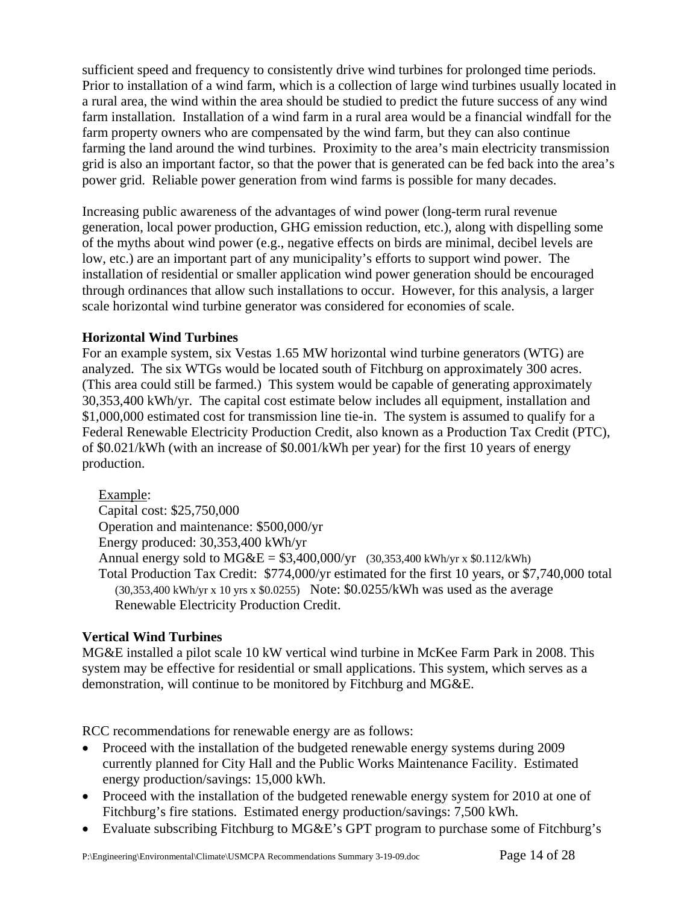sufficient speed and frequency to consistently drive wind turbines for prolonged time periods. Prior to installation of a wind farm, which is a collection of large wind turbines usually located in a rural area, the wind within the area should be studied to predict the future success of any wind farm installation. Installation of a wind farm in a rural area would be a financial windfall for the farm property owners who are compensated by the wind farm, but they can also continue farming the land around the wind turbines. Proximity to the area's main electricity transmission grid is also an important factor, so that the power that is generated can be fed back into the area's power grid. Reliable power generation from wind farms is possible for many decades.

Increasing public awareness of the advantages of wind power (long-term rural revenue generation, local power production, GHG emission reduction, etc.), along with dispelling some of the myths about wind power (e.g., negative effects on birds are minimal, decibel levels are low, etc.) are an important part of any municipality's efforts to support wind power. The installation of residential or smaller application wind power generation should be encouraged through ordinances that allow such installations to occur. However, for this analysis, a larger scale horizontal wind turbine generator was considered for economies of scale.

## **Horizontal Wind Turbines**

For an example system, six Vestas 1.65 MW horizontal wind turbine generators (WTG) are analyzed. The six WTGs would be located south of Fitchburg on approximately 300 acres. (This area could still be farmed.)This system would be capable of generating approximately 30,353,400 kWh/yr. The capital cost estimate below includes all equipment, installation and \$1,000,000 estimated cost for transmission line tie-in. The system is assumed to qualify for a Federal Renewable Electricity Production Credit, also known as a Production Tax Credit (PTC), of \$0.021/kWh (with an increase of \$0.001/kWh per year) for the first 10 years of energy production.

## Example:

Capital cost: \$25,750,000 Operation and maintenance: \$500,000/yr Energy produced: 30,353,400 kWh/yr Annual energy sold to  $MG&E = $3,400,000/yr$  (30,353,400 kWh/yr x \$0.112/kWh) Total Production Tax Credit: \$774,000/yr estimated for the first 10 years, or \$7,740,000 total (30,353,400 kWh/yr x 10 yrs x \$0.0255) Note: \$0.0255/kWh was used as the average Renewable Electricity Production Credit.

## **Vertical Wind Turbines**

MG&E installed a pilot scale 10 kW vertical wind turbine in McKee Farm Park in 2008. This system may be effective for residential or small applications. This system, which serves as a demonstration, will continue to be monitored by Fitchburg and MG&E.

RCC recommendations for renewable energy are as follows:

- Proceed with the installation of the budgeted renewable energy systems during 2009 currently planned for City Hall and the Public Works Maintenance Facility. Estimated energy production/savings: 15,000 kWh.
- Proceed with the installation of the budgeted renewable energy system for 2010 at one of Fitchburg's fire stations. Estimated energy production/savings: 7,500 kWh.
- Evaluate subscribing Fitchburg to MG&E's GPT program to purchase some of Fitchburg's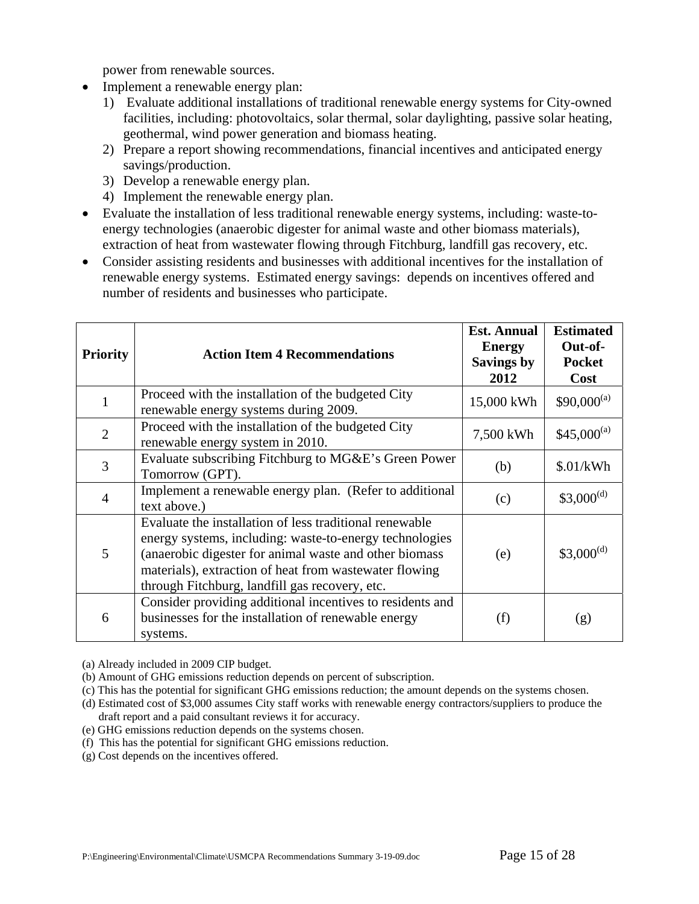power from renewable sources.

- Implement a renewable energy plan:
	- 1) Evaluate additional installations of traditional renewable energy systems for City-owned facilities, including: photovoltaics, solar thermal, solar daylighting, passive solar heating, geothermal, wind power generation and biomass heating.
	- 2) Prepare a report showing recommendations, financial incentives and anticipated energy savings/production.
	- 3) Develop a renewable energy plan.
	- 4) Implement the renewable energy plan.
- Evaluate the installation of less traditional renewable energy systems, including: waste-toenergy technologies (anaerobic digester for animal waste and other biomass materials), extraction of heat from wastewater flowing through Fitchburg, landfill gas recovery, etc.
- Consider assisting residents and businesses with additional incentives for the installation of renewable energy systems. Estimated energy savings: depends on incentives offered and number of residents and businesses who participate.

| <b>Priority</b> | <b>Action Item 4 Recommendations</b>                                                                                                                                                                                                                                                     | <b>Est. Annual</b><br><b>Energy</b><br>Savings by<br>2012 | <b>Estimated</b><br>Out-of-<br><b>Pocket</b><br>Cost |
|-----------------|------------------------------------------------------------------------------------------------------------------------------------------------------------------------------------------------------------------------------------------------------------------------------------------|-----------------------------------------------------------|------------------------------------------------------|
|                 | Proceed with the installation of the budgeted City<br>renewable energy systems during 2009.                                                                                                                                                                                              | 15,000 kWh                                                | $$90,000^{(a)}$                                      |
| $\overline{2}$  | Proceed with the installation of the budgeted City<br>renewable energy system in 2010.                                                                                                                                                                                                   | 7,500 kWh                                                 | $$45,000^{(a)}$$                                     |
| 3               | Evaluate subscribing Fitchburg to MG&E's Green Power<br>Tomorrow (GPT).                                                                                                                                                                                                                  | (b)                                                       | \$.01/kWh                                            |
| 4               | Implement a renewable energy plan. (Refer to additional<br>text above.)                                                                                                                                                                                                                  | (c)                                                       | $$3,000^{(d)}$                                       |
| 5               | Evaluate the installation of less traditional renewable<br>energy systems, including: waste-to-energy technologies<br>(anaerobic digester for animal waste and other biomass<br>materials), extraction of heat from wastewater flowing<br>through Fitchburg, landfill gas recovery, etc. | (e)                                                       | $$3,000^{(d)}$                                       |
| 6               | Consider providing additional incentives to residents and<br>businesses for the installation of renewable energy<br>systems.                                                                                                                                                             | (f)                                                       | (g)                                                  |

(a) Already included in 2009 CIP budget.

(b) Amount of GHG emissions reduction depends on percent of subscription.

(c) This has the potential for significant GHG emissions reduction; the amount depends on the systems chosen.

- (d) Estimated cost of \$3,000 assumes City staff works with renewable energy contractors/suppliers to produce the draft report and a paid consultant reviews it for accuracy.
- (e) GHG emissions reduction depends on the systems chosen.
- (f) This has the potential for significant GHG emissions reduction.
- (g) Cost depends on the incentives offered.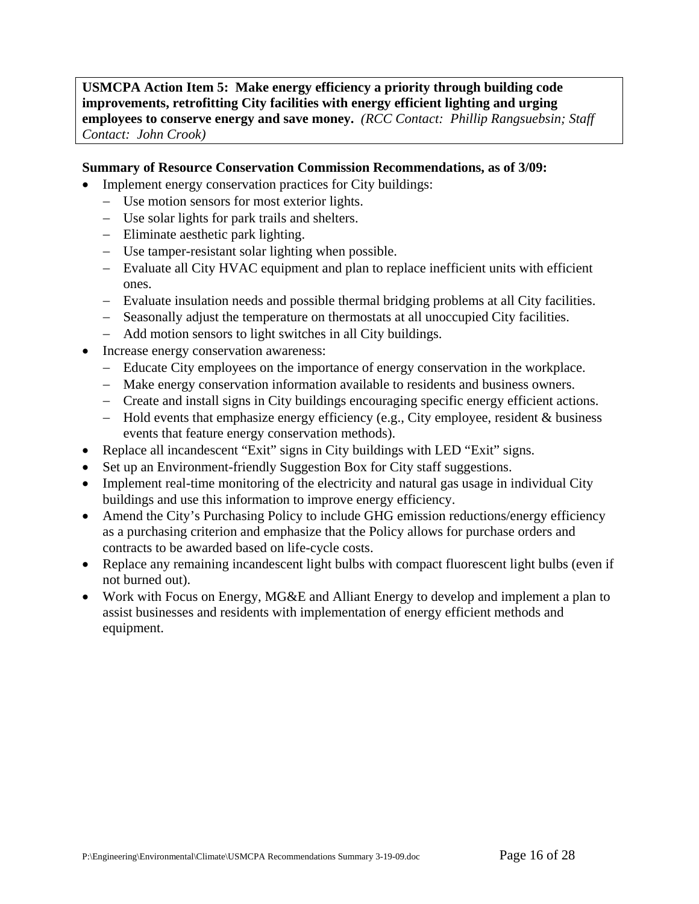**USMCPA Action Item 5: Make energy efficiency a priority through building code improvements, retrofitting City facilities with energy efficient lighting and urging employees to conserve energy and save money.** *(RCC Contact: Phillip Rangsuebsin; Staff Contact: John Crook)* 

## **Summary of Resource Conservation Commission Recommendations, as of 3/09:**

- Implement energy conservation practices for City buildings:
	- − Use motion sensors for most exterior lights.
	- − Use solar lights for park trails and shelters.
	- − Eliminate aesthetic park lighting.
	- − Use tamper-resistant solar lighting when possible.
	- − Evaluate all City HVAC equipment and plan to replace inefficient units with efficient ones.
	- − Evaluate insulation needs and possible thermal bridging problems at all City facilities.
	- − Seasonally adjust the temperature on thermostats at all unoccupied City facilities.
	- − Add motion sensors to light switches in all City buildings.
- Increase energy conservation awareness:
	- − Educate City employees on the importance of energy conservation in the workplace.
	- − Make energy conservation information available to residents and business owners.
	- − Create and install signs in City buildings encouraging specific energy efficient actions.
	- − Hold events that emphasize energy efficiency (e.g., City employee, resident & business events that feature energy conservation methods).
- Replace all incandescent "Exit" signs in City buildings with LED "Exit" signs.
- Set up an Environment-friendly Suggestion Box for City staff suggestions.
- Implement real-time monitoring of the electricity and natural gas usage in individual City buildings and use this information to improve energy efficiency.
- Amend the City's Purchasing Policy to include GHG emission reductions/energy efficiency as a purchasing criterion and emphasize that the Policy allows for purchase orders and contracts to be awarded based on life-cycle costs.
- Replace any remaining incandescent light bulbs with compact fluorescent light bulbs (even if not burned out).
- Work with Focus on Energy, MG&E and Alliant Energy to develop and implement a plan to assist businesses and residents with implementation of energy efficient methods and equipment.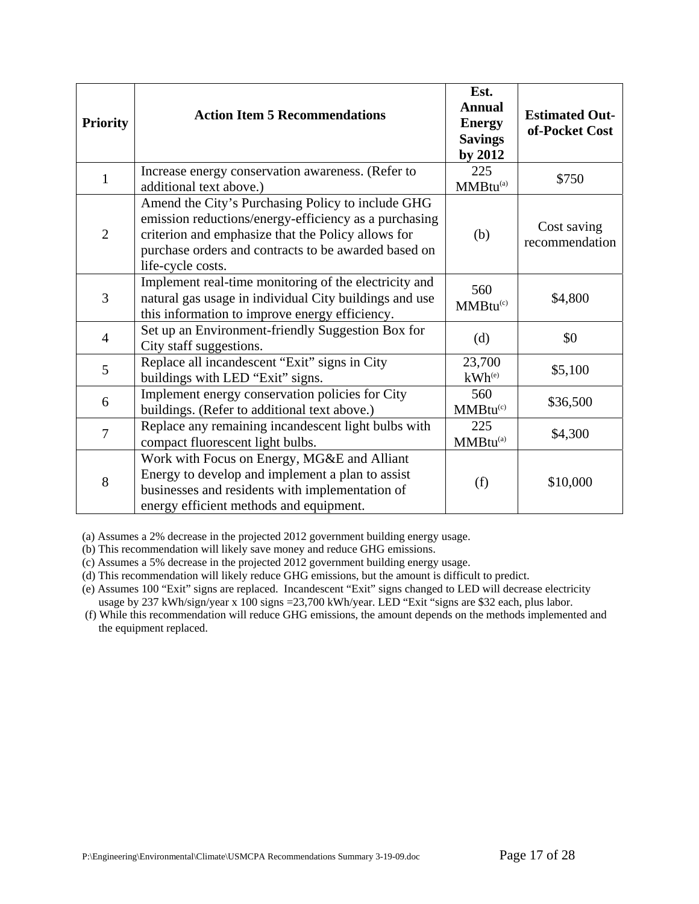| <b>Priority</b> | <b>Action Item 5 Recommendations</b>                                                                                                                                                                                                          | Est.<br><b>Annual</b><br><b>Energy</b><br><b>Savings</b><br>by 2012 | <b>Estimated Out-</b><br>of-Pocket Cost |
|-----------------|-----------------------------------------------------------------------------------------------------------------------------------------------------------------------------------------------------------------------------------------------|---------------------------------------------------------------------|-----------------------------------------|
| 1               | Increase energy conservation awareness. (Refer to<br>additional text above.)                                                                                                                                                                  | 225<br>MMBtu <sup>(a)</sup>                                         | \$750                                   |
| $\overline{2}$  | Amend the City's Purchasing Policy to include GHG<br>emission reductions/energy-efficiency as a purchasing<br>criterion and emphasize that the Policy allows for<br>purchase orders and contracts to be awarded based on<br>life-cycle costs. | (b)                                                                 | Cost saving<br>recommendation           |
| 3               | Implement real-time monitoring of the electricity and<br>natural gas usage in individual City buildings and use<br>this information to improve energy efficiency.                                                                             | 560<br>MMBtu <sup>(c)</sup>                                         | \$4,800                                 |
| $\overline{4}$  | Set up an Environment-friendly Suggestion Box for<br>City staff suggestions.                                                                                                                                                                  | (d)                                                                 | \$0                                     |
| 5               | Replace all incandescent "Exit" signs in City<br>buildings with LED "Exit" signs.                                                                                                                                                             | 23,700<br>$kWh^{(e)}$                                               | \$5,100                                 |
| 6               | Implement energy conservation policies for City<br>buildings. (Refer to additional text above.)                                                                                                                                               | 560<br>MMBtu <sup>(c)</sup>                                         | \$36,500                                |
| 7               | Replace any remaining incandescent light bulbs with<br>compact fluorescent light bulbs.                                                                                                                                                       | 225<br>MMBtu <sup>(a)</sup>                                         | \$4,300                                 |
| 8               | Work with Focus on Energy, MG&E and Alliant<br>Energy to develop and implement a plan to assist<br>businesses and residents with implementation of<br>energy efficient methods and equipment.                                                 | (f)                                                                 | \$10,000                                |

(a) Assumes a 2% decrease in the projected 2012 government building energy usage.

(b) This recommendation will likely save money and reduce GHG emissions.

(c) Assumes a 5% decrease in the projected 2012 government building energy usage.

(d) This recommendation will likely reduce GHG emissions, but the amount is difficult to predict.

(e) Assumes 100 "Exit" signs are replaced. Incandescent "Exit" signs changed to LED will decrease electricity usage by 237 kWh/sign/year x 100 signs =23,700 kWh/year. LED "Exit "signs are \$32 each, plus labor.

 (f) While this recommendation will reduce GHG emissions, the amount depends on the methods implemented and the equipment replaced.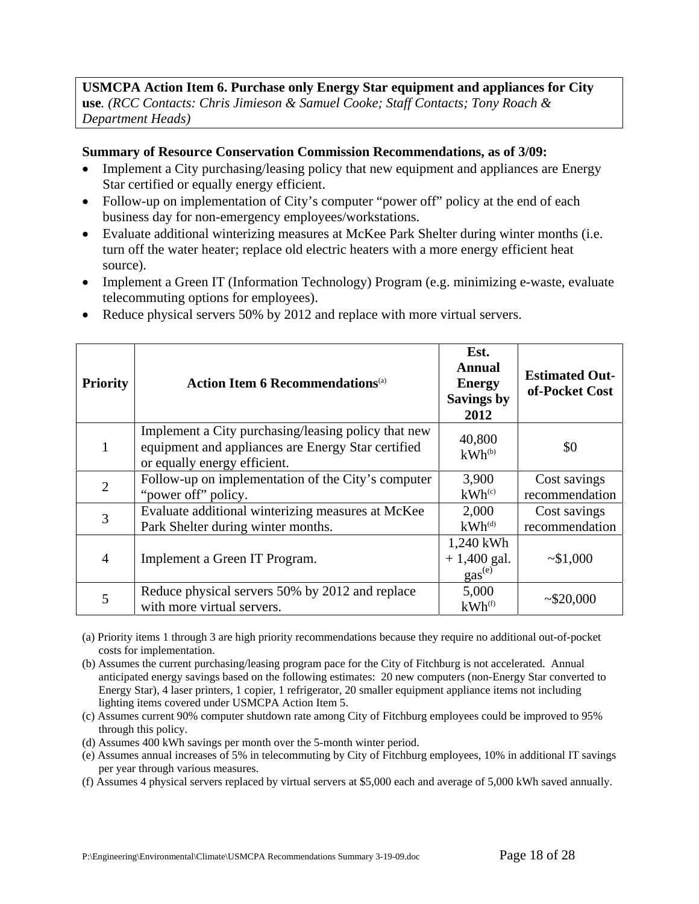## **USMCPA Action Item 6. Purchase only Energy Star equipment and appliances for City use***. (RCC Contacts: Chris Jimieson & Samuel Cooke; Staff Contacts; Tony Roach & Department Heads)*

#### **Summary of Resource Conservation Commission Recommendations, as of 3/09:**

- Implement a City purchasing/leasing policy that new equipment and appliances are Energy Star certified or equally energy efficient.
- Follow-up on implementation of City's computer "power off" policy at the end of each business day for non-emergency employees/workstations.
- Evaluate additional winterizing measures at McKee Park Shelter during winter months (i.e. turn off the water heater; replace old electric heaters with a more energy efficient heat source).
- Implement a Green IT (Information Technology) Program (e.g. minimizing e-waste, evaluate telecommuting options for employees).
- Reduce physical servers 50% by 2012 and replace with more virtual servers.

| <b>Priority</b> | <b>Action Item 6 Recommendations</b> <sup>(a)</sup>                                                                                       | Est.<br><b>Annual</b><br><b>Energy</b><br><b>Savings by</b><br>2012 | <b>Estimated Out-</b><br>of-Pocket Cost |
|-----------------|-------------------------------------------------------------------------------------------------------------------------------------------|---------------------------------------------------------------------|-----------------------------------------|
|                 | Implement a City purchasing/leasing policy that new<br>equipment and appliances are Energy Star certified<br>or equally energy efficient. | 40,800<br>$kWh^{(b)}$                                               | \$0                                     |
| $\overline{2}$  | Follow-up on implementation of the City's computer<br>"power off" policy.                                                                 | 3,900<br>$kWh^{(c)}$                                                | Cost savings<br>recommendation          |
| 3               | Evaluate additional winterizing measures at McKee<br>Park Shelter during winter months.                                                   | 2,000<br>$kWh$ <sup>(d)</sup>                                       | Cost savings<br>recommendation          |
| 4               | Implement a Green IT Program.                                                                                                             | 1,240 kWh<br>$+1,400$ gal.<br>gas <sup>(e)</sup>                    | ~1,000                                  |
| 5               | Reduce physical servers 50% by 2012 and replace<br>with more virtual servers.                                                             | 5,000<br>$kWh^{(f)}$                                                | ~1.520,000                              |

(a) Priority items 1 through 3 are high priority recommendations because they require no additional out-of-pocket costs for implementation.

(b) Assumes the current purchasing/leasing program pace for the City of Fitchburg is not accelerated. Annual anticipated energy savings based on the following estimates: 20 new computers (non-Energy Star converted to Energy Star), 4 laser printers, 1 copier, 1 refrigerator, 20 smaller equipment appliance items not including lighting items covered under USMCPA Action Item 5.

- (c) Assumes current 90% computer shutdown rate among City of Fitchburg employees could be improved to 95% through this policy.
- (d) Assumes 400 kWh savings per month over the 5-month winter period.
- (e) Assumes annual increases of 5% in telecommuting by City of Fitchburg employees, 10% in additional IT savings per year through various measures.
- (f) Assumes 4 physical servers replaced by virtual servers at \$5,000 each and average of 5,000 kWh saved annually.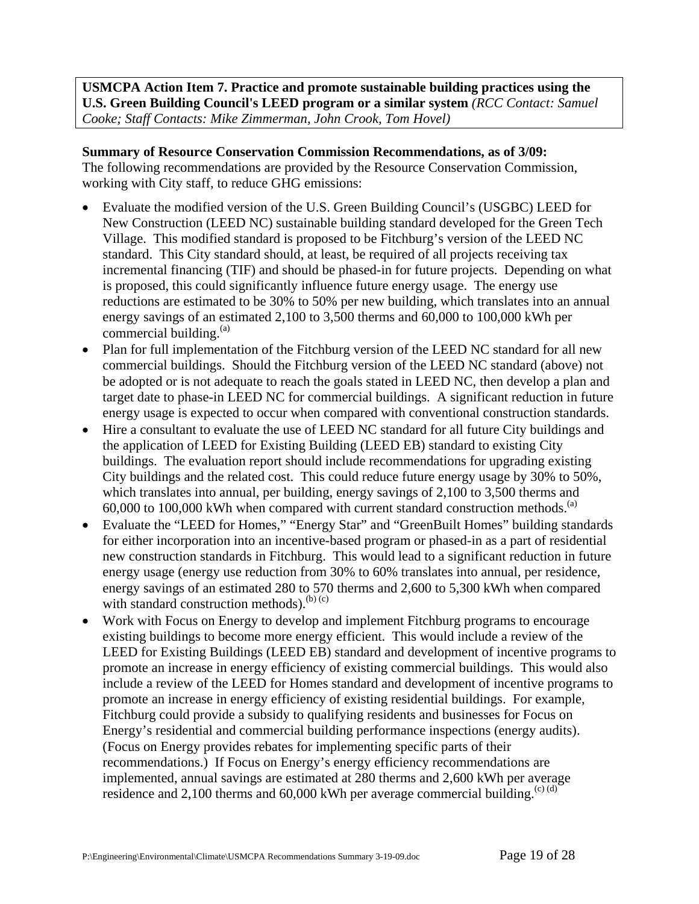**USMCPA Action Item 7. Practice and promote sustainable building practices using the U.S. Green Building Council's LEED program or a similar system** *(RCC Contact: Samuel Cooke; Staff Contacts: Mike Zimmerman, John Crook, Tom Hovel)* 

**Summary of Resource Conservation Commission Recommendations, as of 3/09:** The following recommendations are provided by the Resource Conservation Commission, working with City staff, to reduce GHG emissions:

- Evaluate the modified version of the U.S. Green Building Council's (USGBC) LEED for New Construction (LEED NC) sustainable building standard developed for the Green Tech Village. This modified standard is proposed to be Fitchburg's version of the LEED NC standard. This City standard should, at least, be required of all projects receiving tax incremental financing (TIF) and should be phased-in for future projects. Depending on what is proposed, this could significantly influence future energy usage. The energy use reductions are estimated to be 30% to 50% per new building, which translates into an annual energy savings of an estimated 2,100 to 3,500 therms and 60,000 to 100,000 kWh per commercial building. $(a)$
- Plan for full implementation of the Fitchburg version of the LEED NC standard for all new commercial buildings. Should the Fitchburg version of the LEED NC standard (above) not be adopted or is not adequate to reach the goals stated in LEED NC, then develop a plan and target date to phase-in LEED NC for commercial buildings. A significant reduction in future energy usage is expected to occur when compared with conventional construction standards.
- Hire a consultant to evaluate the use of LEED NC standard for all future City buildings and the application of LEED for Existing Building (LEED EB) standard to existing City buildings. The evaluation report should include recommendations for upgrading existing City buildings and the related cost. This could reduce future energy usage by 30% to 50%, which translates into annual, per building, energy savings of 2,100 to 3,500 therms and 60,000 to 100,000 kWh when compared with current standard construction methods.<sup>(a)</sup>
- Evaluate the "LEED for Homes," "Energy Star" and "GreenBuilt Homes" building standards for either incorporation into an incentive-based program or phased-in as a part of residential new construction standards in Fitchburg. This would lead to a significant reduction in future energy usage (energy use reduction from 30% to 60% translates into annual, per residence, energy savings of an estimated 280 to 570 therms and 2,600 to 5,300 kWh when compared with standard construction methods). $^{(b)(c)}$
- Work with Focus on Energy to develop and implement Fitchburg programs to encourage existing buildings to become more energy efficient. This would include a review of the LEED for Existing Buildings (LEED EB) standard and development of incentive programs to promote an increase in energy efficiency of existing commercial buildings. This would also include a review of the LEED for Homes standard and development of incentive programs to promote an increase in energy efficiency of existing residential buildings. For example, Fitchburg could provide a subsidy to qualifying residents and businesses for Focus on Energy's residential and commercial building performance inspections (energy audits). (Focus on Energy provides rebates for implementing specific parts of their recommendations.) If Focus on Energy's energy efficiency recommendations are implemented, annual savings are estimated at 280 therms and 2,600 kWh per average residence and 2,100 therms and 60,000 kWh per average commercial building.<sup>(c) (d)</sup>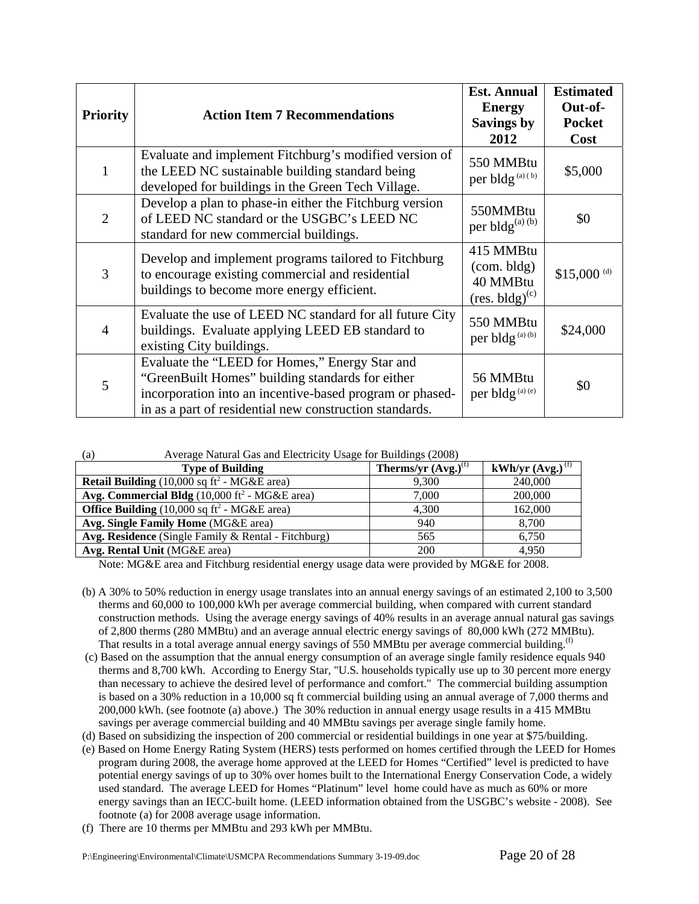| <b>Priority</b> | <b>Action Item 7 Recommendations</b>                                                                                                                                                                                      | <b>Est. Annual</b><br><b>Energy</b><br><b>Savings by</b><br>2012 | <b>Estimated</b><br>Out-of-<br><b>Pocket</b><br>Cost |
|-----------------|---------------------------------------------------------------------------------------------------------------------------------------------------------------------------------------------------------------------------|------------------------------------------------------------------|------------------------------------------------------|
| 1               | Evaluate and implement Fitchburg's modified version of<br>the LEED NC sustainable building standard being<br>developed for buildings in the Green Tech Village.                                                           | 550 MMBtu<br>per bldg <sup>(a)(b)</sup>                          | \$5,000                                              |
| $\overline{2}$  | Develop a plan to phase-in either the Fitchburg version<br>of LEED NC standard or the USGBC's LEED NC<br>standard for new commercial buildings.                                                                           | 550MMBtu<br>per bldg <sup>(a) (b)</sup>                          | \$0                                                  |
| 3               | Develop and implement programs tailored to Fitchburg<br>to encourage existing commercial and residential<br>buildings to become more energy efficient.                                                                    | 415 MMBtu<br>(com. bldg)<br>40 MMBtu<br>$(res. bldg)^{(c)}$      | \$15,000 $^{(d)}$                                    |
| $\overline{4}$  | Evaluate the use of LEED NC standard for all future City<br>buildings. Evaluate applying LEED EB standard to<br>existing City buildings.                                                                                  | 550 MMBtu<br>per bldg <sup>(a)(b)</sup>                          | \$24,000                                             |
| 5               | Evaluate the "LEED for Homes," Energy Star and<br>"GreenBuilt Homes" building standards for either<br>incorporation into an incentive-based program or phased-<br>in as a part of residential new construction standards. | 56 MMBtu<br>per bldg <sup>(a)(e)</sup>                           | \$0                                                  |

| Average Natural Gas and Electricity Usage for Buildings (2008)<br>(a) |  |
|-----------------------------------------------------------------------|--|
|-----------------------------------------------------------------------|--|

| $\ddotsc$<br>$\ldots$                                   |                          |                                |
|---------------------------------------------------------|--------------------------|--------------------------------|
| <b>Type of Building</b>                                 | Therms/yr $(Avg.)^{(1)}$ | kWh/yr $(Avg.)$ <sup>(f)</sup> |
| <b>Retail Building</b> (10,000 sq $ft^2$ - MG&E area)   | 9,300                    | 240,000                        |
| <b>Avg. Commercial Bldg</b> (10,000 $ft^2$ - MG&E area) | 7,000                    | 200,000                        |
| <b>Office Building</b> (10,000 sq $ft^2$ - MG&E area)   | 4,300                    | 162,000                        |
| Avg. Single Family Home (MG&E area)                     | 940                      | 8.700                          |
| Avg. Residence (Single Family & Rental - Fitchburg)     | 565                      | 6,750                          |
| Avg. Rental Unit (MG&E area)                            | 200                      | 4.950                          |
|                                                         |                          |                                |

Note: MG&E area and Fitchburg residential energy usage data were provided by MG&E for 2008.

- (b) A 30% to 50% reduction in energy usage translates into an annual energy savings of an estimated 2,100 to 3,500 therms and 60,000 to 100,000 kWh per average commercial building, when compared with current standard construction methods. Using the average energy savings of 40% results in an average annual natural gas savings of 2,800 therms (280 MMBtu) and an average annual electric energy savings of 80,000 kWh (272 MMBtu). That results in a total average annual energy savings of 550 MMBtu per average commercial building.<sup>(f)</sup>
- (c) Based on the assumption that the annual energy consumption of an average single family residence equals 940 therms and 8,700 kWh. According to Energy Star, "U.S. households typically use up to 30 percent more energy than necessary to achieve the desired level of performance and comfort." The commercial building assumption is based on a 30% reduction in a 10,000 sq ft commercial building using an annual average of 7,000 therms and 200,000 kWh. (see footnote (a) above.) The 30% reduction in annual energy usage results in a 415 MMBtu savings per average commercial building and 40 MMBtu savings per average single family home.
- (d) Based on subsidizing the inspection of 200 commercial or residential buildings in one year at \$75/building.
- (e) Based on Home Energy Rating System (HERS) tests performed on homes certified through the LEED for Homes program during 2008, the average home approved at the LEED for Homes "Certified" level is predicted to have potential energy savings of up to 30% over homes built to the International Energy Conservation Code, a widely used standard. The average LEED for Homes "Platinum" level home could have as much as 60% or more energy savings than an IECC-built home. (LEED information obtained from the USGBC's website - 2008). See footnote (a) for 2008 average usage information.
- (f) There are 10 therms per MMBtu and 293 kWh per MMBtu.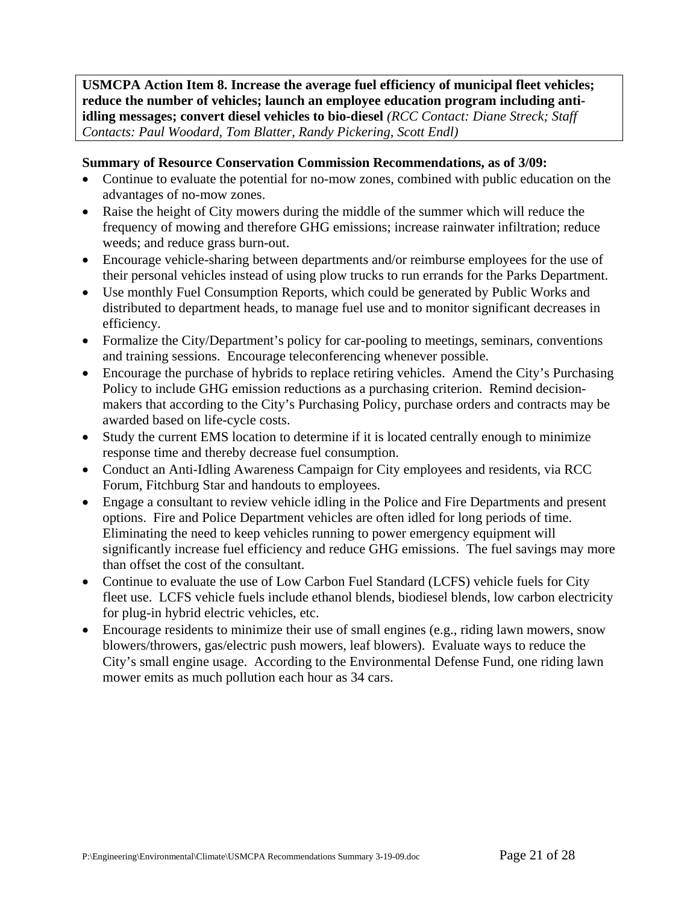**USMCPA Action Item 8. Increase the average fuel efficiency of municipal fleet vehicles; reduce the number of vehicles; launch an employee education program including antiidling messages; convert diesel vehicles to bio-diesel** *(RCC Contact: Diane Streck; Staff Contacts: Paul Woodard, Tom Blatter, Randy Pickering, Scott Endl)*

## **Summary of Resource Conservation Commission Recommendations, as of 3/09:**

- Continue to evaluate the potential for no-mow zones, combined with public education on the advantages of no-mow zones.
- Raise the height of City mowers during the middle of the summer which will reduce the frequency of mowing and therefore GHG emissions; increase rainwater infiltration; reduce weeds; and reduce grass burn-out.
- Encourage vehicle-sharing between departments and/or reimburse employees for the use of their personal vehicles instead of using plow trucks to run errands for the Parks Department.
- Use monthly Fuel Consumption Reports, which could be generated by Public Works and distributed to department heads, to manage fuel use and to monitor significant decreases in efficiency.
- Formalize the City/Department's policy for car-pooling to meetings, seminars, conventions and training sessions. Encourage teleconferencing whenever possible.
- Encourage the purchase of hybrids to replace retiring vehicles. Amend the City's Purchasing Policy to include GHG emission reductions as a purchasing criterion. Remind decisionmakers that according to the City's Purchasing Policy, purchase orders and contracts may be awarded based on life-cycle costs.
- Study the current EMS location to determine if it is located centrally enough to minimize response time and thereby decrease fuel consumption.
- Conduct an Anti-Idling Awareness Campaign for City employees and residents, via RCC Forum, Fitchburg Star and handouts to employees.
- Engage a consultant to review vehicle idling in the Police and Fire Departments and present options. Fire and Police Department vehicles are often idled for long periods of time. Eliminating the need to keep vehicles running to power emergency equipment will significantly increase fuel efficiency and reduce GHG emissions. The fuel savings may more than offset the cost of the consultant.
- Continue to evaluate the use of Low Carbon Fuel Standard (LCFS) vehicle fuels for City fleet use. LCFS vehicle fuels include ethanol blends, biodiesel blends, low carbon electricity for plug-in hybrid electric vehicles, etc.
- Encourage residents to minimize their use of small engines (e.g., riding lawn mowers, snow blowers/throwers, gas/electric push mowers, leaf blowers). Evaluate ways to reduce the City's small engine usage. According to the Environmental Defense Fund, one riding lawn mower emits as much pollution each hour as 34 cars.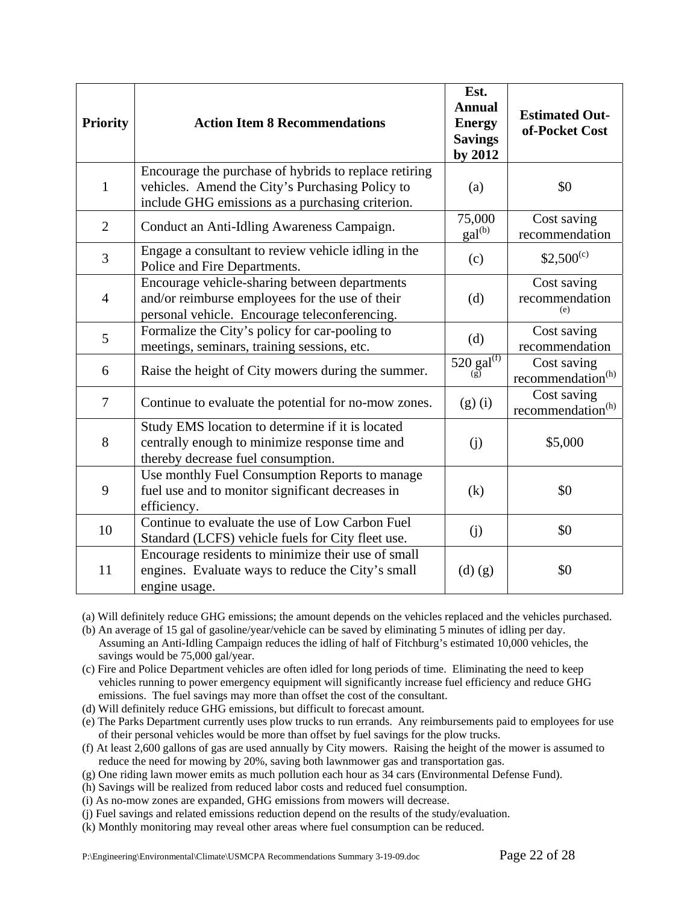| <b>Priority</b> | <b>Action Item 8 Recommendations</b>                                                                                                                         | Est.<br><b>Annual</b><br><b>Energy</b><br><b>Savings</b><br>by 2012 | <b>Estimated Out-</b><br>of-Pocket Cost      |
|-----------------|--------------------------------------------------------------------------------------------------------------------------------------------------------------|---------------------------------------------------------------------|----------------------------------------------|
| $\mathbf{1}$    | Encourage the purchase of hybrids to replace retiring<br>vehicles. Amend the City's Purchasing Policy to<br>include GHG emissions as a purchasing criterion. | (a)                                                                 | \$0                                          |
| $\overline{2}$  | Conduct an Anti-Idling Awareness Campaign.                                                                                                                   | 75,000<br>$\text{gal}^{(b)}$                                        | Cost saving<br>recommendation                |
| 3               | Engage a consultant to review vehicle idling in the<br>Police and Fire Departments.                                                                          | (c)                                                                 | $$2,500^{(c)}$                               |
| $\overline{4}$  | Encourage vehicle-sharing between departments<br>and/or reimburse employees for the use of their<br>personal vehicle. Encourage teleconferencing.            | (d)                                                                 | Cost saving<br>recommendation<br>(e)         |
| 5               | Formalize the City's policy for car-pooling to<br>meetings, seminars, training sessions, etc.                                                                | (d)                                                                 | Cost saving<br>recommendation                |
| 6               | Raise the height of City mowers during the summer.                                                                                                           | $520$ gal <sup>(f)</sup>                                            | Cost saving<br>recommendation <sup>(h)</sup> |
| $\tau$          | Continue to evaluate the potential for no-mow zones.                                                                                                         | (g)(i)                                                              | Cost saving<br>recommendation <sup>(h)</sup> |
| 8               | Study EMS location to determine if it is located<br>centrally enough to minimize response time and<br>thereby decrease fuel consumption.                     | (j)                                                                 | \$5,000                                      |
| 9               | Use monthly Fuel Consumption Reports to manage<br>fuel use and to monitor significant decreases in<br>efficiency.                                            | (k)                                                                 | \$0                                          |
| 10              | Continue to evaluate the use of Low Carbon Fuel<br>Standard (LCFS) vehicle fuels for City fleet use.                                                         | (j)                                                                 | \$0                                          |
| 11              | Encourage residents to minimize their use of small<br>engines. Evaluate ways to reduce the City's small<br>engine usage.                                     | $(d)$ $(g)$                                                         | \$0                                          |

(a) Will definitely reduce GHG emissions; the amount depends on the vehicles replaced and the vehicles purchased.

(b) An average of 15 gal of gasoline/year/vehicle can be saved by eliminating 5 minutes of idling per day. Assuming an Anti-Idling Campaign reduces the idling of half of Fitchburg's estimated 10,000 vehicles, the savings would be 75,000 gal/year.

(c) Fire and Police Department vehicles are often idled for long periods of time. Eliminating the need to keep vehicles running to power emergency equipment will significantly increase fuel efficiency and reduce GHG emissions. The fuel savings may more than offset the cost of the consultant.

(d) Will definitely reduce GHG emissions, but difficult to forecast amount.

(e) The Parks Department currently uses plow trucks to run errands. Any reimbursements paid to employees for use of their personal vehicles would be more than offset by fuel savings for the plow trucks.

(f) At least 2,600 gallons of gas are used annually by City mowers. Raising the height of the mower is assumed to reduce the need for mowing by 20%, saving both lawnmower gas and transportation gas.

(g) One riding lawn mower emits as much pollution each hour as 34 cars (Environmental Defense Fund).

(h) Savings will be realized from reduced labor costs and reduced fuel consumption.

(i) As no-mow zones are expanded, GHG emissions from mowers will decrease.

(j) Fuel savings and related emissions reduction depend on the results of the study/evaluation.

(k) Monthly monitoring may reveal other areas where fuel consumption can be reduced.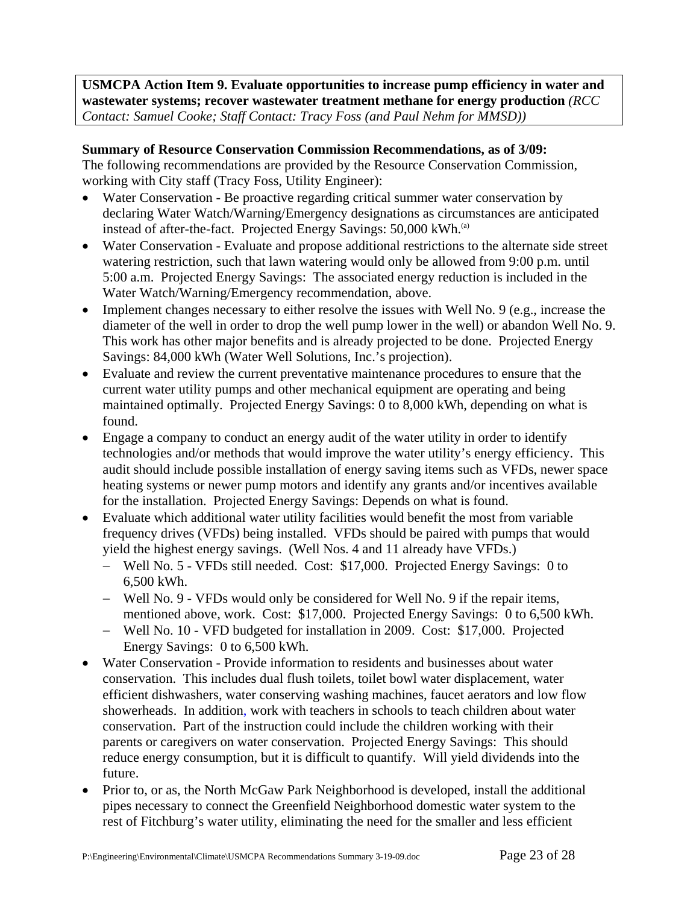**USMCPA Action Item 9. Evaluate opportunities to increase pump efficiency in water and wastewater systems; recover wastewater treatment methane for energy production** *(RCC Contact: Samuel Cooke; Staff Contact: Tracy Foss (and Paul Nehm for MMSD))*

## **Summary of Resource Conservation Commission Recommendations, as of 3/09:**

The following recommendations are provided by the Resource Conservation Commission, working with City staff (Tracy Foss, Utility Engineer):

- Water Conservation Be proactive regarding critical summer water conservation by declaring Water Watch/Warning/Emergency designations as circumstances are anticipated instead of after-the-fact. Projected Energy Savings: 50,000 kWh.<sup>(a)</sup>
- Water Conservation Evaluate and propose additional restrictions to the alternate side street watering restriction, such that lawn watering would only be allowed from 9:00 p.m. until 5:00 a.m. Projected Energy Savings: The associated energy reduction is included in the Water Watch/Warning/Emergency recommendation, above.
- Implement changes necessary to either resolve the issues with Well No. 9 (e.g., increase the diameter of the well in order to drop the well pump lower in the well) or abandon Well No. 9. This work has other major benefits and is already projected to be done. Projected Energy Savings: 84,000 kWh (Water Well Solutions, Inc.'s projection).
- Evaluate and review the current preventative maintenance procedures to ensure that the current water utility pumps and other mechanical equipment are operating and being maintained optimally. Projected Energy Savings: 0 to 8,000 kWh, depending on what is found.
- Engage a company to conduct an energy audit of the water utility in order to identify technologies and/or methods that would improve the water utility's energy efficiency. This audit should include possible installation of energy saving items such as VFDs, newer space heating systems or newer pump motors and identify any grants and/or incentives available for the installation. Projected Energy Savings: Depends on what is found.
- Evaluate which additional water utility facilities would benefit the most from variable frequency drives (VFDs) being installed. VFDs should be paired with pumps that would yield the highest energy savings. (Well Nos. 4 and 11 already have VFDs.)
	- − Well No. 5 VFDs still needed. Cost: \$17,000. Projected Energy Savings: 0 to 6,500 kWh.
	- − Well No. 9 VFDs would only be considered for Well No. 9 if the repair items, mentioned above, work. Cost: \$17,000. Projected Energy Savings: 0 to 6,500 kWh.
	- − Well No. 10 VFD budgeted for installation in 2009. Cost: \$17,000. Projected Energy Savings: 0 to 6,500 kWh.
- Water Conservation Provide information to residents and businesses about water conservation. This includes dual flush toilets, toilet bowl water displacement, water efficient dishwashers, water conserving washing machines, faucet aerators and low flow showerheads. In addition, work with teachers in schools to teach children about water conservation. Part of the instruction could include the children working with their parents or caregivers on water conservation. Projected Energy Savings: This should reduce energy consumption, but it is difficult to quantify. Will yield dividends into the future.
- Prior to, or as, the North McGaw Park Neighborhood is developed, install the additional pipes necessary to connect the Greenfield Neighborhood domestic water system to the rest of Fitchburg's water utility, eliminating the need for the smaller and less efficient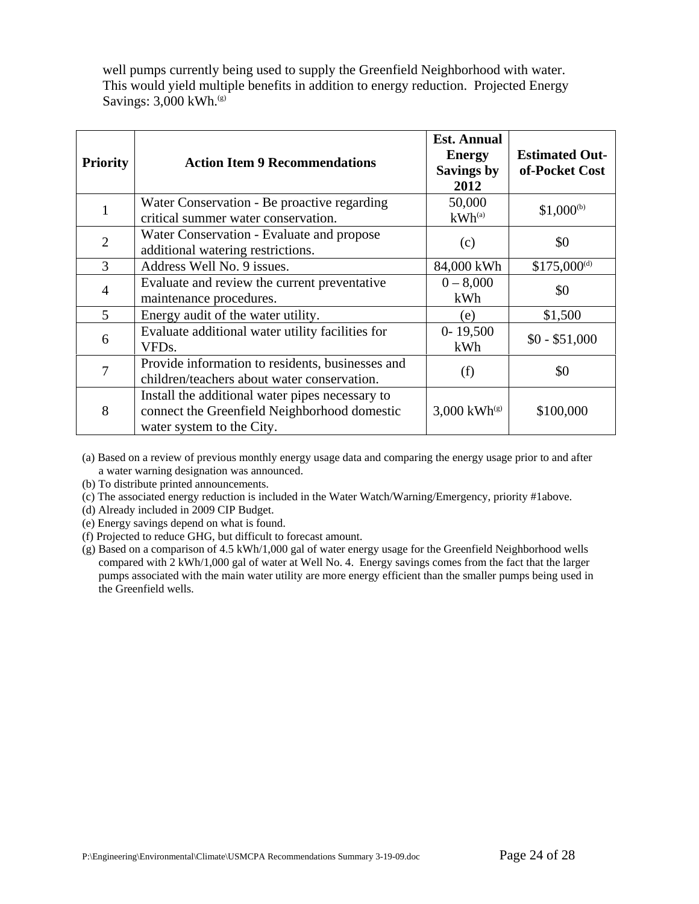well pumps currently being used to supply the Greenfield Neighborhood with water. This would yield multiple benefits in addition to energy reduction. Projected Energy Savings:  $3,000$  kWh.<sup>(g)</sup>

| <b>Priority</b> | <b>Action Item 9 Recommendations</b>                                                                                         | <b>Est. Annual</b><br><b>Energy</b><br><b>Savings by</b><br>2012 | <b>Estimated Out-</b><br>of-Pocket Cost |
|-----------------|------------------------------------------------------------------------------------------------------------------------------|------------------------------------------------------------------|-----------------------------------------|
| 1               | Water Conservation - Be proactive regarding<br>critical summer water conservation.                                           | 50,000<br>$kWh^{(a)}$                                            | $$1,000^{(b)}$                          |
| $\overline{2}$  | Water Conservation - Evaluate and propose<br>additional watering restrictions.                                               | (c)                                                              | \$0                                     |
| 3               | Address Well No. 9 issues.                                                                                                   | 84,000 kWh                                                       | $$175,000^{(d)}$                        |
| 4               | Evaluate and review the current preventative<br>maintenance procedures.                                                      | $0 - 8,000$<br>kWh                                               | \$0                                     |
| 5               | Energy audit of the water utility.                                                                                           | (e)                                                              | \$1,500                                 |
| 6               | Evaluate additional water utility facilities for<br>VFD <sub>s</sub> .                                                       | $0 - 19,500$<br>kWh                                              | $$0 - $51,000$                          |
| 7               | Provide information to residents, businesses and<br>children/teachers about water conservation.                              | (f)                                                              | \$0                                     |
| 8               | Install the additional water pipes necessary to<br>connect the Greenfield Neighborhood domestic<br>water system to the City. | 3,000 $kWh^{(g)}$                                                | \$100,000                               |

(a) Based on a review of previous monthly energy usage data and comparing the energy usage prior to and after a water warning designation was announced.

(b) To distribute printed announcements.

(c) The associated energy reduction is included in the Water Watch/Warning/Emergency, priority #1above.

(d) Already included in 2009 CIP Budget.

(e) Energy savings depend on what is found.

(f) Projected to reduce GHG, but difficult to forecast amount.

(g) Based on a comparison of 4.5 kWh/1,000 gal of water energy usage for the Greenfield Neighborhood wells compared with 2 kWh/1,000 gal of water at Well No. 4. Energy savings comes from the fact that the larger pumps associated with the main water utility are more energy efficient than the smaller pumps being used in the Greenfield wells.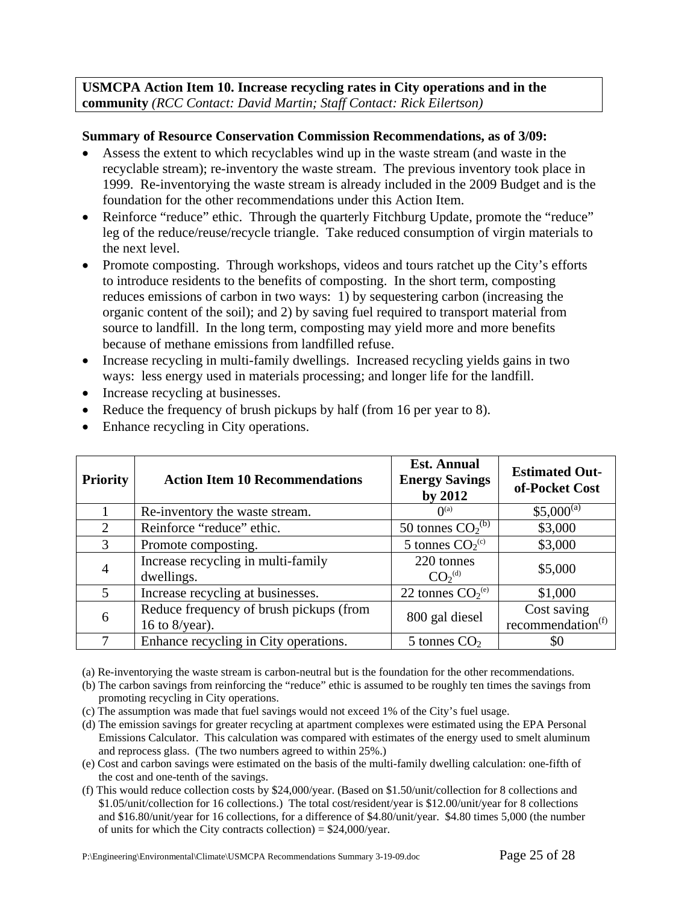**USMCPA Action Item 10. Increase recycling rates in City operations and in the community** *(RCC Contact: David Martin; Staff Contact: Rick Eilertson)*

## **Summary of Resource Conservation Commission Recommendations, as of 3/09:**

- Assess the extent to which recyclables wind up in the waste stream (and waste in the recyclable stream); re-inventory the waste stream. The previous inventory took place in 1999. Re-inventorying the waste stream is already included in the 2009 Budget and is the foundation for the other recommendations under this Action Item.
- Reinforce "reduce" ethic. Through the quarterly Fitchburg Update, promote the "reduce" leg of the reduce/reuse/recycle triangle. Take reduced consumption of virgin materials to the next level.
- Promote composting. Through workshops, videos and tours ratchet up the City's efforts to introduce residents to the benefits of composting. In the short term, composting reduces emissions of carbon in two ways: 1) by sequestering carbon (increasing the organic content of the soil); and 2) by saving fuel required to transport material from source to landfill. In the long term, composting may yield more and more benefits because of methane emissions from landfilled refuse.
- Increase recycling in multi-family dwellings. Increased recycling yields gains in two ways: less energy used in materials processing; and longer life for the landfill.
- Increase recycling at businesses.
- Reduce the frequency of brush pickups by half (from 16 per year to 8).
- Enhance recycling in City operations.

| <b>Priority</b> | <b>Action Item 10 Recommendations</b>                        | <b>Est. Annual</b><br><b>Energy Savings</b><br>by 2012 | <b>Estimated Out-</b><br>of-Pocket Cost      |
|-----------------|--------------------------------------------------------------|--------------------------------------------------------|----------------------------------------------|
|                 | Re-inventory the waste stream.                               | $\mathbf{O}^{(a)}$                                     | $$5,000^{(a)}$$                              |
| 2               | Reinforce "reduce" ethic.                                    | 50 tonnes $CO_2^{(b)}$                                 | \$3,000                                      |
| 3               | Promote composting.                                          | 5 tonnes $CO_2(c)$                                     | \$3,000                                      |
| $\overline{4}$  | Increase recycling in multi-family<br>dwellings.             | 220 tonnes<br>CO <sub>2</sub> <sup>(d)</sup>           | \$5,000                                      |
| $\mathcal{F}$   | Increase recycling at businesses.                            | 22 tonnes $CO_2^{(e)}$                                 | \$1,000                                      |
| 6               | Reduce frequency of brush pickups (from<br>16 to $8$ /year). | 800 gal diesel                                         | Cost saving<br>recommendation <sup>(f)</sup> |
|                 | Enhance recycling in City operations.                        | 5 tonnes $CO2$                                         | \$0                                          |

(a) Re-inventorying the waste stream is carbon-neutral but is the foundation for the other recommendations.

- (b) The carbon savings from reinforcing the "reduce" ethic is assumed to be roughly ten times the savings from promoting recycling in City operations.
- (c) The assumption was made that fuel savings would not exceed 1% of the City's fuel usage.
- (d) The emission savings for greater recycling at apartment complexes were estimated using the EPA Personal Emissions Calculator. This calculation was compared with estimates of the energy used to smelt aluminum and reprocess glass. (The two numbers agreed to within 25%.)
- (e) Cost and carbon savings were estimated on the basis of the multi-family dwelling calculation: one-fifth of the cost and one-tenth of the savings.
- (f) This would reduce collection costs by \$24,000/year. (Based on \$1.50/unit/collection for 8 collections and \$1.05/unit/collection for 16 collections.) The total cost/resident/year is \$12.00/unit/year for 8 collections and \$16.80/unit/year for 16 collections, for a difference of \$4.80/unit/year. \$4.80 times 5,000 (the number of units for which the City contracts collection) =  $$24,000/year$ .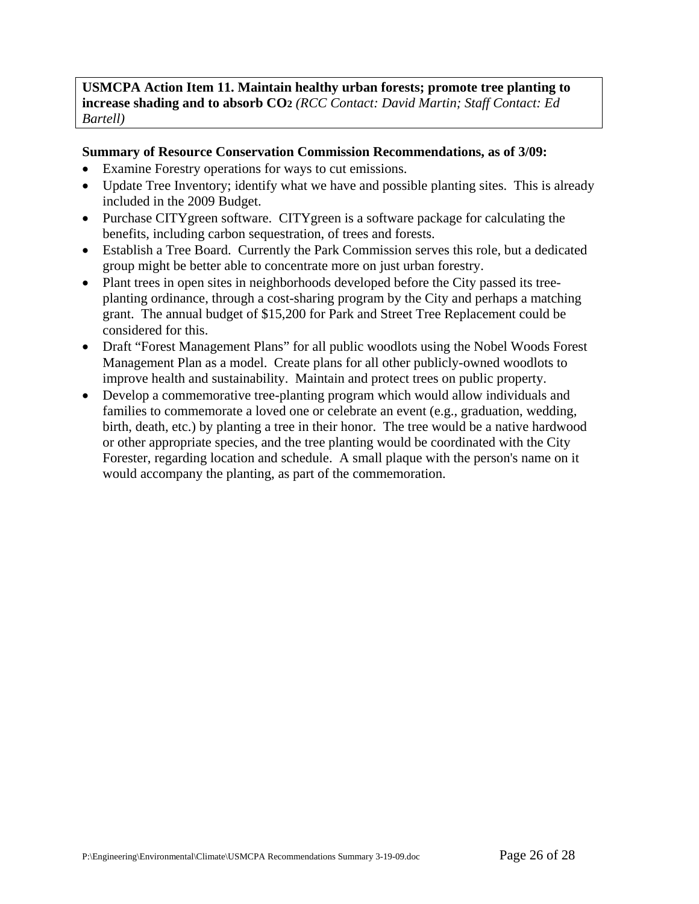## **USMCPA Action Item 11. Maintain healthy urban forests; promote tree planting to increase shading and to absorb CO2** *(RCC Contact: David Martin; Staff Contact: Ed Bartell)*

## **Summary of Resource Conservation Commission Recommendations, as of 3/09:**

- Examine Forestry operations for ways to cut emissions.
- Update Tree Inventory; identify what we have and possible planting sites. This is already included in the 2009 Budget.
- Purchase CITYgreen software. CITYgreen is a software package for calculating the benefits, including carbon sequestration, of trees and forests.
- Establish a Tree Board. Currently the Park Commission serves this role, but a dedicated group might be better able to concentrate more on just urban forestry.
- Plant trees in open sites in neighborhoods developed before the City passed its treeplanting ordinance, through a cost-sharing program by the City and perhaps a matching grant. The annual budget of \$15,200 for Park and Street Tree Replacement could be considered for this.
- Draft "Forest Management Plans" for all public woodlots using the Nobel Woods Forest Management Plan as a model. Create plans for all other publicly-owned woodlots to improve health and sustainability. Maintain and protect trees on public property.
- Develop a commemorative tree-planting program which would allow individuals and families to commemorate a loved one or celebrate an event (e.g., graduation, wedding, birth, death, etc.) by planting a tree in their honor. The tree would be a native hardwood or other appropriate species, and the tree planting would be coordinated with the City Forester, regarding location and schedule. A small plaque with the person's name on it would accompany the planting, as part of the commemoration.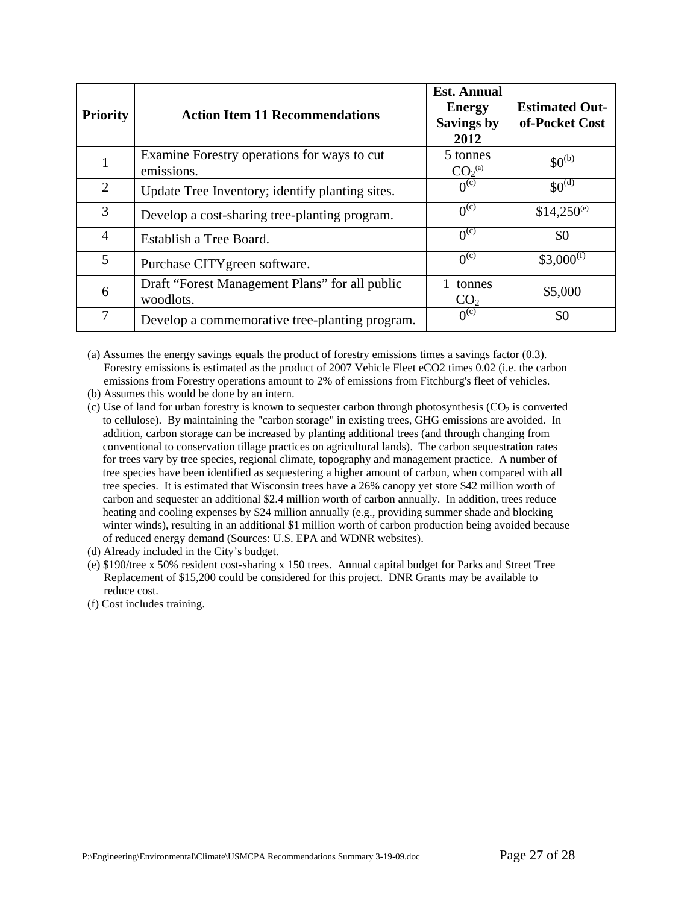| <b>Priority</b> | <b>Action Item 11 Recommendations</b>                       | <b>Est. Annual</b><br><b>Energy</b><br><b>Savings by</b><br>2012 | <b>Estimated Out-</b><br>of-Pocket Cost |
|-----------------|-------------------------------------------------------------|------------------------------------------------------------------|-----------------------------------------|
|                 | Examine Forestry operations for ways to cut<br>emissions.   | 5 tonnes<br>CO <sub>2</sub> <sup>(a)</sup>                       | $$0^{(b)}$$                             |
| $\overline{2}$  | Update Tree Inventory; identify planting sites.             | 0 <sub>(c)</sub>                                                 | \$0 <sup>(d)</sup>                      |
| 3               | Develop a cost-sharing tree-planting program.               | 0 <sup>(c)</sup>                                                 | $$14,250^{\circ}$                       |
| 4               | Establish a Tree Board.                                     | 0 <sub>(c)</sub>                                                 | \$0                                     |
| 5               | Purchase CITY green software.                               | 0 <sup>(c)</sup>                                                 | $$3,000^{(f)}$                          |
| 6               | Draft "Forest Management Plans" for all public<br>woodlots. | tonnes<br>CO <sub>2</sub>                                        | \$5,000                                 |
| 7               | Develop a commemorative tree-planting program.              | 0 <sub>(c)</sub>                                                 | \$0                                     |

(a) Assumes the energy savings equals the product of forestry emissions times a savings factor (0.3). Forestry emissions is estimated as the product of 2007 Vehicle Fleet eCO2 times 0.02 (i.e. the carbon emissions from Forestry operations amount to 2% of emissions from Fitchburg's fleet of vehicles.

(b) Assumes this would be done by an intern.

(c) Use of land for urban forestry is known to sequester carbon through photosynthesis ( $CO<sub>2</sub>$  is converted to cellulose). By maintaining the "carbon storage" in existing trees, GHG emissions are avoided. In addition, carbon storage can be increased by planting additional trees (and through changing from conventional to conservation tillage practices on agricultural lands). The carbon sequestration rates for trees vary by tree species, regional climate, topography and management practice. A number of tree species have been identified as sequestering a higher amount of carbon, when compared with all tree species. It is estimated that Wisconsin trees have a 26% canopy yet store \$42 million worth of carbon and sequester an additional \$2.4 million worth of carbon annually. In addition, trees reduce heating and cooling expenses by \$24 million annually (e.g., providing summer shade and blocking winter winds), resulting in an additional \$1 million worth of carbon production being avoided because of reduced energy demand (Sources: U.S. EPA and WDNR websites).

(d) Already included in the City's budget.

(e) \$190/tree x 50% resident cost-sharing x 150 trees. Annual capital budget for Parks and Street Tree Replacement of \$15,200 could be considered for this project. DNR Grants may be available to reduce cost.

(f) Cost includes training.